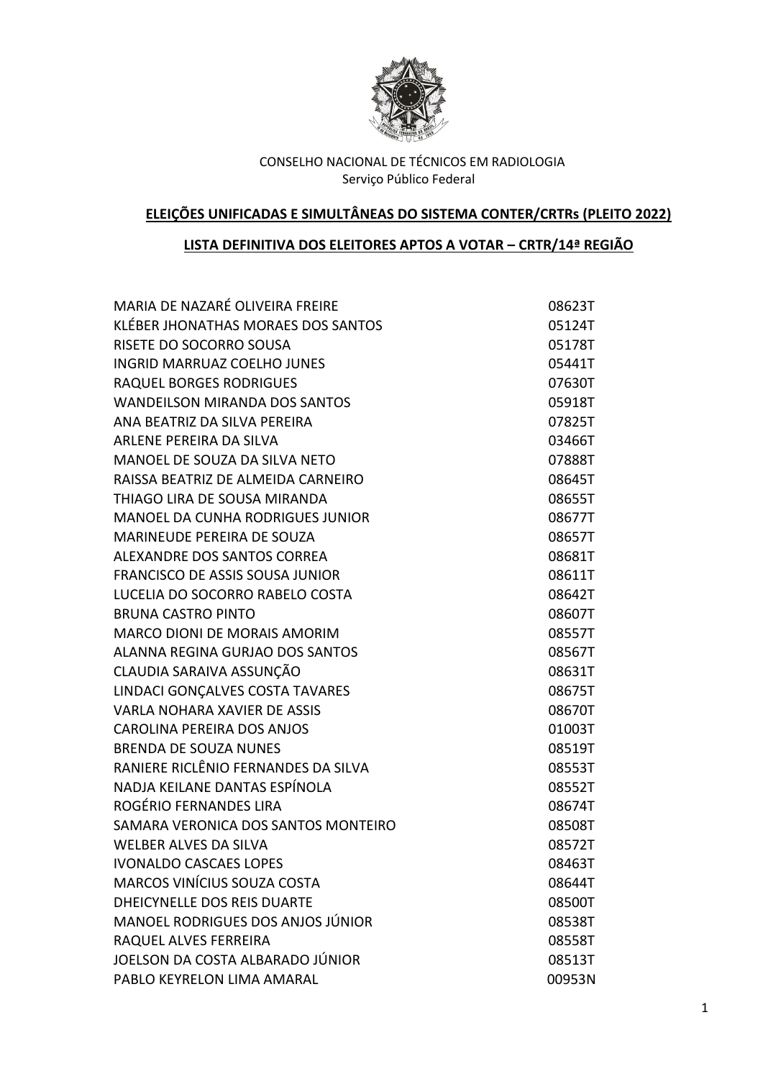

# **ELEIÇÕES UNIFICADAS E SIMULTÂNEAS DO SISTEMA CONTER/CRTRs (PLEITO 2022)**

## **LISTA DEFINITIVA DOS ELEITORES APTOS A VOTAR – CRTR/14ª REGIÃO**

| MARIA DE NAZARÉ OLIVEIRA FREIRE          | 08623T |
|------------------------------------------|--------|
| KLÉBER JHONATHAS MORAES DOS SANTOS       | 05124T |
| RISETE DO SOCORRO SOUSA                  | 05178T |
| <b>INGRID MARRUAZ COELHO JUNES</b>       | 05441T |
| <b>RAQUEL BORGES RODRIGUES</b>           | 07630T |
| <b>WANDEILSON MIRANDA DOS SANTOS</b>     | 05918T |
| ANA BEATRIZ DA SILVA PEREIRA             | 07825T |
| ARLENE PEREIRA DA SILVA                  | 03466T |
| MANOEL DE SOUZA DA SILVA NETO            | 07888T |
| RAISSA BEATRIZ DE ALMEIDA CARNEIRO       | 08645T |
| THIAGO LIRA DE SOUSA MIRANDA             | 08655T |
| <b>MANOEL DA CUNHA RODRIGUES JUNIOR</b>  | 08677T |
| <b>MARINEUDE PEREIRA DE SOUZA</b>        | 08657T |
| ALEXANDRE DOS SANTOS CORREA              | 08681T |
| FRANCISCO DE ASSIS SOUSA JUNIOR          | 08611T |
| LUCELIA DO SOCORRO RABELO COSTA          | 08642T |
| <b>BRUNA CASTRO PINTO</b>                | 08607T |
| MARCO DIONI DE MORAIS AMORIM             | 08557T |
| ALANNA REGINA GURJAO DOS SANTOS          | 08567T |
| CLAUDIA SARAIVA ASSUNÇÃO                 | 08631T |
| LINDACI GONÇALVES COSTA TAVARES          | 08675T |
| <b>VARLA NOHARA XAVIER DE ASSIS</b>      | 08670T |
| <b>CAROLINA PEREIRA DOS ANJOS</b>        | 01003T |
| <b>BRENDA DE SOUZA NUNES</b>             | 08519T |
| RANIERE RICLÊNIO FERNANDES DA SILVA      | 08553T |
| NADJA KEILANE DANTAS ESPÍNOLA            | 08552T |
| ROGÉRIO FERNANDES LIRA                   | 08674T |
| SAMARA VERONICA DOS SANTOS MONTEIRO      | 08508T |
| <b>WELBER ALVES DA SILVA</b>             | 08572T |
| <b>IVONALDO CASCAES LOPES</b>            | 08463T |
| MARCOS VINÍCIUS SOUZA COSTA              | 08644T |
| DHEICYNELLE DOS REIS DUARTE              | 08500T |
| <b>MANOEL RODRIGUES DOS ANJOS JÚNIOR</b> | 08538T |
| RAQUEL ALVES FERREIRA                    | 08558T |
| JOELSON DA COSTA ALBARADO JÚNIOR         | 08513T |
| PABLO KEYRELON LIMA AMARAL               | 00953N |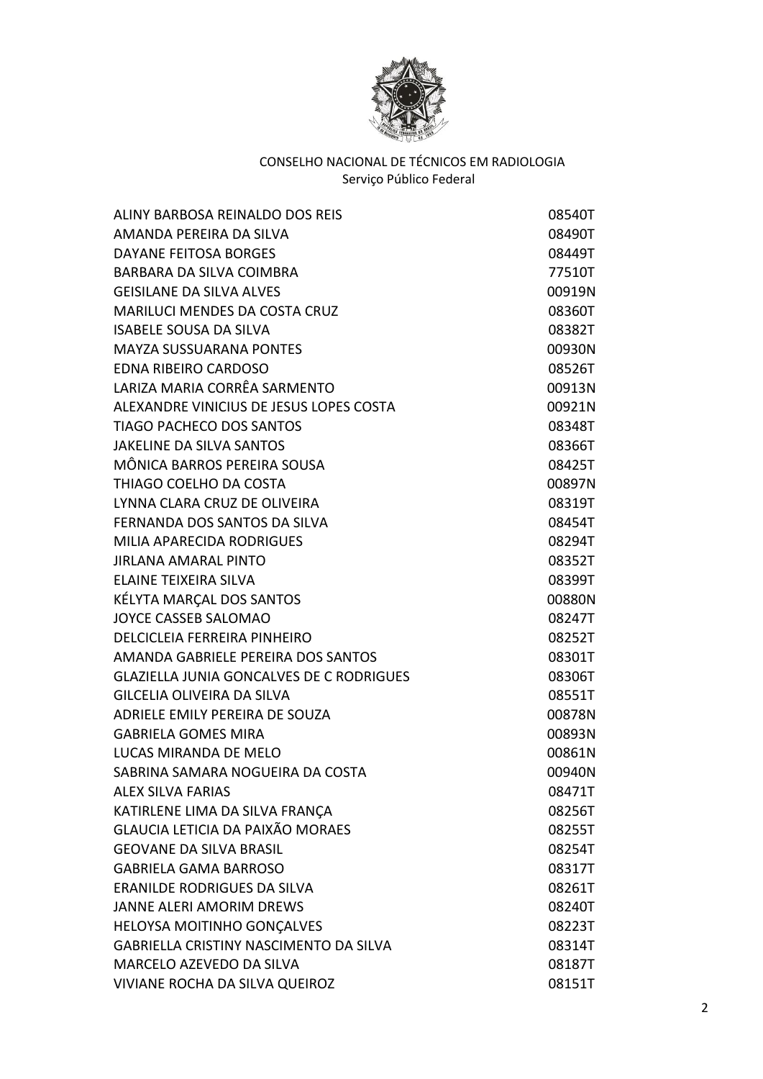

| ALINY BARBOSA REINALDO DOS REIS                 | 08540T |
|-------------------------------------------------|--------|
| AMANDA PEREIRA DA SILVA                         | 08490T |
| <b>DAYANE FEITOSA BORGES</b>                    | 08449T |
| <b>BARBARA DA SILVA COIMBRA</b>                 | 77510T |
| <b>GEISILANE DA SILVA ALVES</b>                 | 00919N |
| <b>MARILUCI MENDES DA COSTA CRUZ</b>            | 08360T |
| <b>ISABELE SOUSA DA SILVA</b>                   | 08382T |
| <b>MAYZA SUSSUARANA PONTES</b>                  | 00930N |
| <b>EDNA RIBEIRO CARDOSO</b>                     | 08526T |
| LARIZA MARIA CORRÊA SARMENTO                    | 00913N |
| ALEXANDRE VINICIUS DE JESUS LOPES COSTA         | 00921N |
| <b>TIAGO PACHECO DOS SANTOS</b>                 | 08348T |
| <b>JAKELINE DA SILVA SANTOS</b>                 | 08366T |
| MÔNICA BARROS PEREIRA SOUSA                     | 08425T |
| THIAGO COELHO DA COSTA                          | 00897N |
| LYNNA CLARA CRUZ DE OLIVEIRA                    | 08319T |
| FERNANDA DOS SANTOS DA SILVA                    | 08454T |
| MILIA APARECIDA RODRIGUES                       | 08294T |
| <b>JIRLANA AMARAL PINTO</b>                     | 08352T |
| <b>ELAINE TEIXEIRA SILVA</b>                    | 08399T |
| KÉLYTA MARÇAL DOS SANTOS                        | 00880N |
| <b>JOYCE CASSEB SALOMAO</b>                     | 08247T |
| <b>DELCICLEIA FERREIRA PINHEIRO</b>             | 08252T |
| AMANDA GABRIELE PEREIRA DOS SANTOS              | 08301T |
| <b>GLAZIELLA JUNIA GONCALVES DE C RODRIGUES</b> | 08306T |
| <b>GILCELIA OLIVEIRA DA SILVA</b>               | 08551T |
| ADRIELE EMILY PEREIRA DE SOUZA                  | 00878N |
| <b>GABRIELA GOMES MIRA</b>                      | 00893N |
| LUCAS MIRANDA DE MELO                           | 00861N |
| SABRINA SAMARA NOGUEIRA DA COSTA                | 00940N |
| <b>ALEX SILVA FARIAS</b>                        | 08471T |
| KATIRLENE LIMA DA SILVA FRANÇA                  | 08256T |
| <b>GLAUCIA LETICIA DA PAIXÃO MORAES</b>         | 08255T |
| <b>GEOVANE DA SILVA BRASIL</b>                  | 08254T |
| <b>GABRIELA GAMA BARROSO</b>                    | 08317T |
| <b>ERANILDE RODRIGUES DA SILVA</b>              | 08261T |
| <b>JANNE ALERI AMORIM DREWS</b>                 | 08240T |
| HELOYSA MOITINHO GONÇALVES                      | 08223T |
| GABRIELLA CRISTINY NASCIMENTO DA SILVA          | 08314T |
| MARCELO AZEVEDO DA SILVA                        | 08187T |
| VIVIANE ROCHA DA SILVA QUEIROZ                  | 08151T |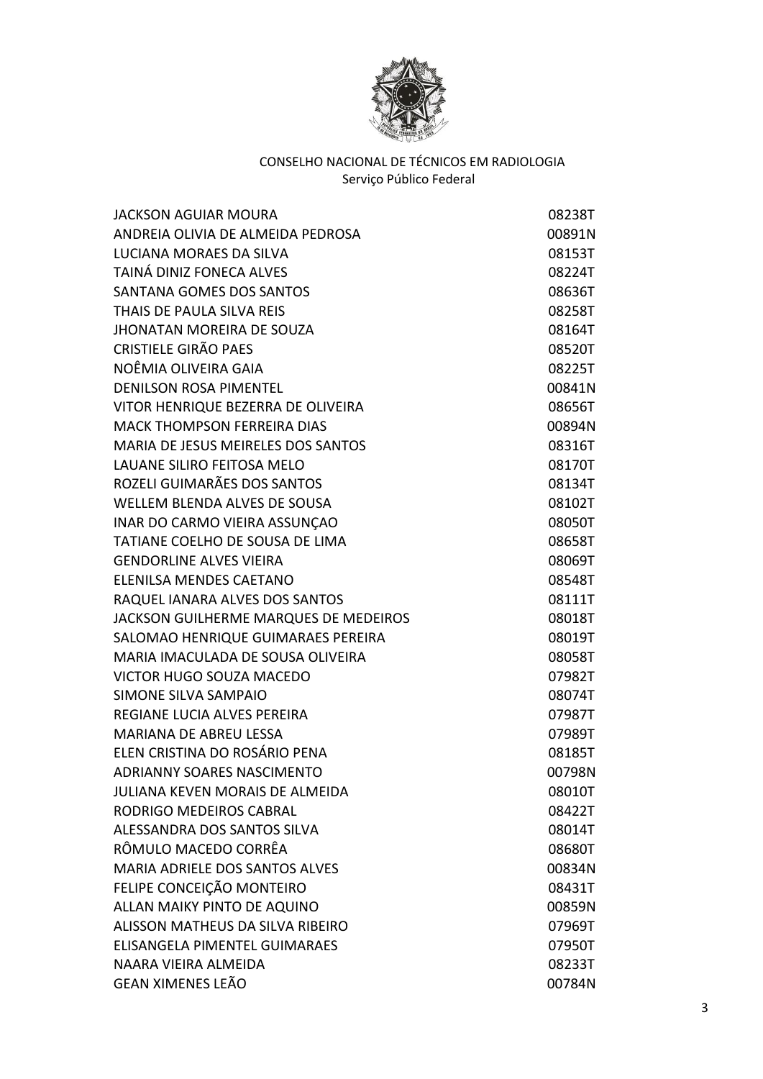

| <b>JACKSON AGUIAR MOURA</b>               | 08238T |
|-------------------------------------------|--------|
| ANDREIA OLIVIA DE ALMEIDA PEDROSA         | 00891N |
| LUCIANA MORAES DA SILVA                   | 08153T |
| TAINÁ DINIZ FONECA ALVES                  | 08224T |
| SANTANA GOMES DOS SANTOS                  | 08636T |
| THAIS DE PAULA SILVA REIS                 | 08258T |
| <b>JHONATAN MOREIRA DE SOUZA</b>          | 08164T |
| <b>CRISTIELE GIRÃO PAES</b>               | 08520T |
| NOÊMIA OLIVEIRA GAIA                      | 08225T |
| <b>DENILSON ROSA PIMENTEL</b>             | 00841N |
| VITOR HENRIQUE BEZERRA DE OLIVEIRA        | 08656T |
| <b>MACK THOMPSON FERREIRA DIAS</b>        | 00894N |
| <b>MARIA DE JESUS MEIRELES DOS SANTOS</b> | 08316T |
| LAUANE SILIRO FEITOSA MELO                | 08170T |
| ROZELI GUIMARÃES DOS SANTOS               | 08134T |
| WELLEM BLENDA ALVES DE SOUSA              | 08102T |
| INAR DO CARMO VIEIRA ASSUNÇÃO             | 08050T |
| TATIANE COELHO DE SOUSA DE LIMA           | 08658T |
| <b>GENDORLINE ALVES VIEIRA</b>            | 08069T |
| ELENILSA MENDES CAETANO                   | 08548T |
| RAQUEL IANARA ALVES DOS SANTOS            | 08111T |
| JACKSON GUILHERME MARQUES DE MEDEIROS     | 08018T |
| SALOMAO HENRIQUE GUIMARAES PEREIRA        | 08019T |
| MARIA IMACULADA DE SOUSA OLIVEIRA         | 08058T |
| <b>VICTOR HUGO SOUZA MACEDO</b>           | 07982T |
| <b>SIMONE SILVA SAMPAIO</b>               | 08074T |
| <b>REGIANE LUCIA ALVES PEREIRA</b>        | 07987T |
| <b>MARIANA DE ABREU LESSA</b>             | 07989T |
| ELEN CRISTINA DO ROSÁRIO PENA             | 08185T |
| <b>ADRIANNY SOARES NASCIMENTO</b>         | 00798N |
| <b>JULIANA KEVEN MORAIS DE ALMEIDA</b>    | 08010T |
| RODRIGO MEDEIROS CABRAL                   | 08422T |
| ALESSANDRA DOS SANTOS SILVA               | 08014T |
| RÔMULO MACEDO CORRÊA                      | 08680T |
| MARIA ADRIELE DOS SANTOS ALVES            | 00834N |
| FELIPE CONCEIÇÃO MONTEIRO                 | 08431T |
| ALLAN MAIKY PINTO DE AQUINO               | 00859N |
| ALISSON MATHEUS DA SILVA RIBEIRO          | 07969T |
| ELISANGELA PIMENTEL GUIMARAES             | 07950T |
| NAARA VIEIRA ALMEIDA                      | 08233T |
| <b>GEAN XIMENES LEÃO</b>                  | 00784N |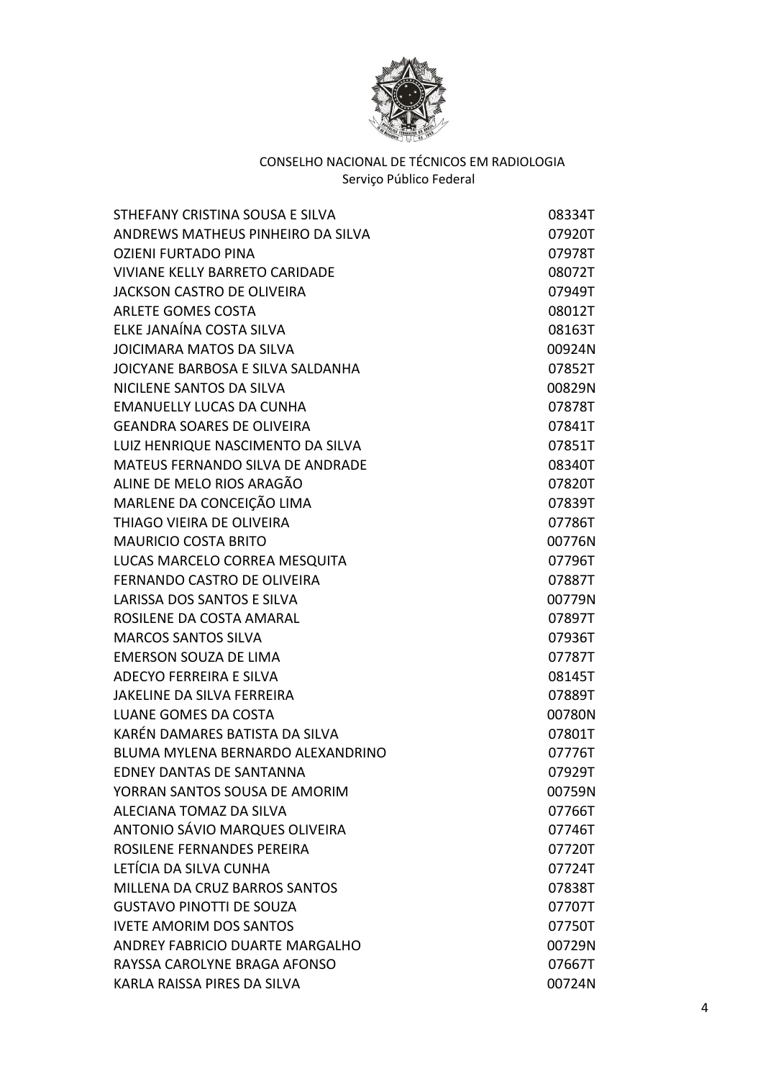

| STHEFANY CRISTINA SOUSA E SILVA         | 08334T |
|-----------------------------------------|--------|
| ANDREWS MATHEUS PINHEIRO DA SILVA       | 07920T |
| <b>OZIENI FURTADO PINA</b>              | 07978T |
| <b>VIVIANE KELLY BARRETO CARIDADE</b>   | 08072T |
| <b>JACKSON CASTRO DE OLIVEIRA</b>       | 07949T |
| <b>ARLETE GOMES COSTA</b>               | 08012T |
| ELKE JANAÍNA COSTA SILVA                | 08163T |
| <b>JOICIMARA MATOS DA SILVA</b>         | 00924N |
| JOICYANE BARBOSA E SILVA SALDANHA       | 07852T |
| NICILENE SANTOS DA SILVA                | 00829N |
| <b>EMANUELLY LUCAS DA CUNHA</b>         | 07878T |
| <b>GEANDRA SOARES DE OLIVEIRA</b>       | 07841T |
| LUIZ HENRIQUE NASCIMENTO DA SILVA       | 07851T |
| <b>MATEUS FERNANDO SILVA DE ANDRADE</b> | 08340T |
| ALINE DE MELO RIOS ARAGÃO               | 07820T |
| MARLENE DA CONCEIÇÃO LIMA               | 07839T |
| THIAGO VIEIRA DE OLIVEIRA               | 07786T |
| <b>MAURICIO COSTA BRITO</b>             | 00776N |
| LUCAS MARCELO CORREA MESQUITA           | 07796T |
| FERNANDO CASTRO DE OLIVEIRA             | 07887T |
| LARISSA DOS SANTOS E SILVA              | 00779N |
| ROSILENE DA COSTA AMARAL                | 07897T |
| <b>MARCOS SANTOS SILVA</b>              | 07936T |
| <b>EMERSON SOUZA DE LIMA</b>            | 07787T |
| ADECYO FERREIRA E SILVA                 | 08145T |
| <b>JAKELINE DA SILVA FERREIRA</b>       | 07889T |
| <b>LUANE GOMES DA COSTA</b>             | 00780N |
| KARÉN DAMARES BATISTA DA SILVA          | 07801T |
| BLUMA MYLENA BERNARDO ALEXANDRINO       | 07776T |
| <b>EDNEY DANTAS DE SANTANNA</b>         | 07929T |
| YORRAN SANTOS SOUSA DE AMORIM           | 00759N |
| ALECIANA TOMAZ DA SILVA                 | 07766T |
| ANTONIO SÁVIO MARQUES OLIVEIRA          | 07746T |
| ROSILENE FERNANDES PEREIRA              | 07720T |
| LETÍCIA DA SILVA CUNHA                  | 07724T |
| MILLENA DA CRUZ BARROS SANTOS           | 07838T |
| <b>GUSTAVO PINOTTI DE SOUZA</b>         | 07707T |
| <b>IVETE AMORIM DOS SANTOS</b>          | 07750T |
| ANDREY FABRICIO DUARTE MARGALHO         | 00729N |
| RAYSSA CAROLYNE BRAGA AFONSO            | 07667T |
| KARLA RAISSA PIRES DA SILVA             | 00724N |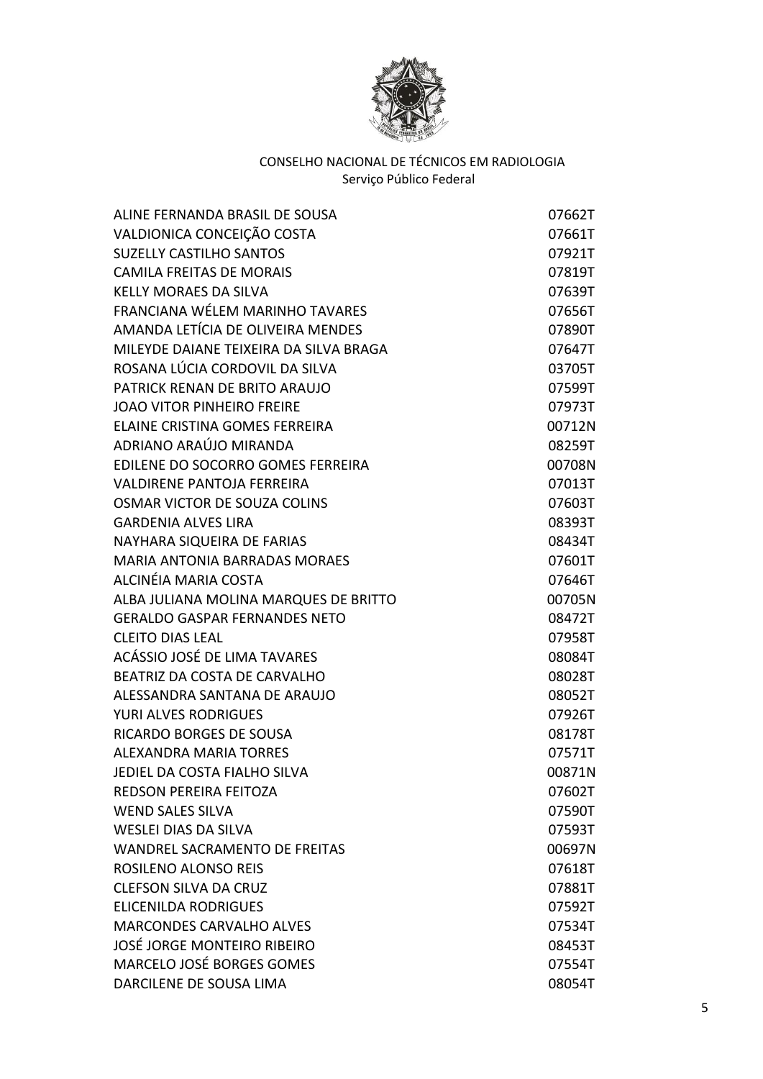

| ALCINÉIA MARIA COSTA<br>ACÁSSIO JOSÉ DE LIMA TAVARES | ALINE FERNANDA BRASIL DE SOUSA         | 07662T |
|------------------------------------------------------|----------------------------------------|--------|
|                                                      | VALDIONICA CONCEIÇÃO COSTA             | 07661T |
|                                                      | <b>SUZELLY CASTILHO SANTOS</b>         | 07921T |
|                                                      | <b>CAMILA FREITAS DE MORAIS</b>        | 07819T |
|                                                      | <b>KELLY MORAES DA SILVA</b>           | 07639T |
|                                                      | FRANCIANA WÉLEM MARINHO TAVARES        | 07656T |
|                                                      | AMANDA LETÍCIA DE OLIVEIRA MENDES      | 07890T |
|                                                      | MILEYDE DAIANE TEIXEIRA DA SILVA BRAGA | 07647T |
|                                                      | ROSANA LÚCIA CORDOVIL DA SILVA         | 03705T |
|                                                      | PATRICK RENAN DE BRITO ARAUJO          | 07599T |
|                                                      | <b>JOAO VITOR PINHEIRO FREIRE</b>      | 07973T |
|                                                      | ELAINE CRISTINA GOMES FERREIRA         | 00712N |
|                                                      | ADRIANO ARAÚJO MIRANDA                 | 08259T |
|                                                      | EDILENE DO SOCORRO GOMES FERREIRA      | 00708N |
|                                                      | <b>VALDIRENE PANTOJA FERREIRA</b>      | 07013T |
|                                                      | OSMAR VICTOR DE SOUZA COLINS           | 07603T |
|                                                      | <b>GARDENIA ALVES LIRA</b>             | 08393T |
|                                                      | NAYHARA SIQUEIRA DE FARIAS             | 08434T |
|                                                      | <b>MARIA ANTONIA BARRADAS MORAES</b>   | 07601T |
|                                                      |                                        | 07646T |
|                                                      | ALBA JULIANA MOLINA MARQUES DE BRITTO  | 00705N |
|                                                      | <b>GERALDO GASPAR FERNANDES NETO</b>   | 08472T |
|                                                      | <b>CLEITO DIAS LEAL</b>                | 07958T |
|                                                      |                                        | 08084T |
|                                                      | BEATRIZ DA COSTA DE CARVALHO           | 08028T |
|                                                      | ALESSANDRA SANTANA DE ARAUJO           | 08052T |
|                                                      | <b>YURI ALVES RODRIGUES</b>            | 07926T |
|                                                      | <b>RICARDO BORGES DE SOUSA</b>         | 08178T |
|                                                      | <b>ALEXANDRA MARIA TORRES</b>          | 07571T |
|                                                      | JEDIEL DA COSTA FIALHO SILVA           | 00871N |
|                                                      | <b>REDSON PEREIRA FEITOZA</b>          | 07602T |
|                                                      | <b>WEND SALES SILVA</b>                | 07590T |
|                                                      | <b>WESLEI DIAS DA SILVA</b>            | 07593T |
|                                                      | WANDREL SACRAMENTO DE FREITAS          | 00697N |
|                                                      | <b>ROSILENO ALONSO REIS</b>            | 07618T |
|                                                      | <b>CLEFSON SILVA DA CRUZ</b>           | 07881T |
|                                                      | <b>ELICENILDA RODRIGUES</b>            | 07592T |
|                                                      | <b>MARCONDES CARVALHO ALVES</b>        | 07534T |
|                                                      | JOSÉ JORGE MONTEIRO RIBEIRO            | 08453T |
|                                                      | MARCELO JOSÉ BORGES GOMES              | 07554T |
|                                                      | DARCILENE DE SOUSA LIMA                | 08054T |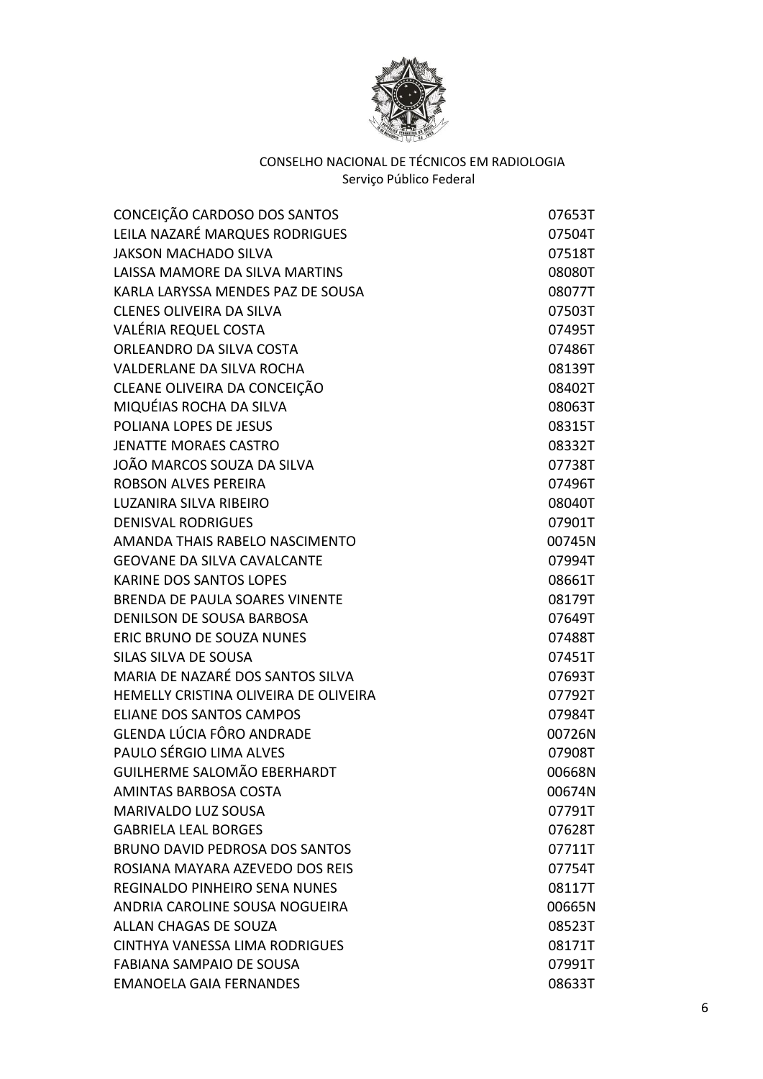

| CONCEIÇÃO CARDOSO DOS SANTOS          | 07653T |
|---------------------------------------|--------|
| LEILA NAZARÉ MARQUES RODRIGUES        | 07504T |
| <b>JAKSON MACHADO SILVA</b>           | 07518T |
| LAISSA MAMORE DA SILVA MARTINS        | 08080T |
| KARLA LARYSSA MENDES PAZ DE SOUSA     | 08077T |
| <b>CLENES OLIVEIRA DA SILVA</b>       | 07503T |
| VALÉRIA REQUEL COSTA                  | 07495T |
| ORLEANDRO DA SILVA COSTA              | 07486T |
| VALDERLANE DA SILVA ROCHA             | 08139T |
| CLEANE OLIVEIRA DA CONCEIÇÃO          | 08402T |
| MIQUÉIAS ROCHA DA SILVA               | 08063T |
| POLIANA LOPES DE JESUS                | 08315T |
| <b>JENATTE MORAES CASTRO</b>          | 08332T |
| JOÃO MARCOS SOUZA DA SILVA            | 07738T |
| <b>ROBSON ALVES PEREIRA</b>           | 07496T |
| <b>LUZANIRA SILVA RIBEIRO</b>         | 08040T |
| <b>DENISVAL RODRIGUES</b>             | 07901T |
| AMANDA THAIS RABELO NASCIMENTO        | 00745N |
| <b>GEOVANE DA SILVA CAVALCANTE</b>    | 07994T |
| <b>KARINE DOS SANTOS LOPES</b>        | 08661T |
| <b>BRENDA DE PAULA SOARES VINENTE</b> | 08179T |
| <b>DENILSON DE SOUSA BARBOSA</b>      | 07649T |
| ERIC BRUNO DE SOUZA NUNES             | 07488T |
| SILAS SILVA DE SOUSA                  | 07451T |
| MARIA DE NAZARÉ DOS SANTOS SILVA      | 07693T |
| HEMELLY CRISTINA OLIVEIRA DE OLIVEIRA | 07792T |
| <b>ELIANE DOS SANTOS CAMPOS</b>       | 07984T |
| GLENDA LÚCIA FÔRO ANDRADE             | 00726N |
| PAULO SÉRGIO LIMA ALVES               | 07908T |
| <b>GUILHERME SALOMÃO EBERHARDT</b>    | 00668N |
| AMINTAS BARBOSA COSTA                 | 00674N |
| MARIVALDO LUZ SOUSA                   | 07791T |
| <b>GABRIELA LEAL BORGES</b>           | 07628T |
| <b>BRUNO DAVID PEDROSA DOS SANTOS</b> | 07711T |
| ROSIANA MAYARA AZEVEDO DOS REIS       | 07754T |
| <b>REGINALDO PINHEIRO SENA NUNES</b>  | 08117T |
| ANDRIA CAROLINE SOUSA NOGUEIRA        | 00665N |
| <b>ALLAN CHAGAS DE SOUZA</b>          | 08523T |
| CINTHYA VANESSA LIMA RODRIGUES        | 08171T |
| <b>FABIANA SAMPAIO DE SOUSA</b>       | 07991T |
| <b>EMANOELA GAIA FERNANDES</b>        | 08633T |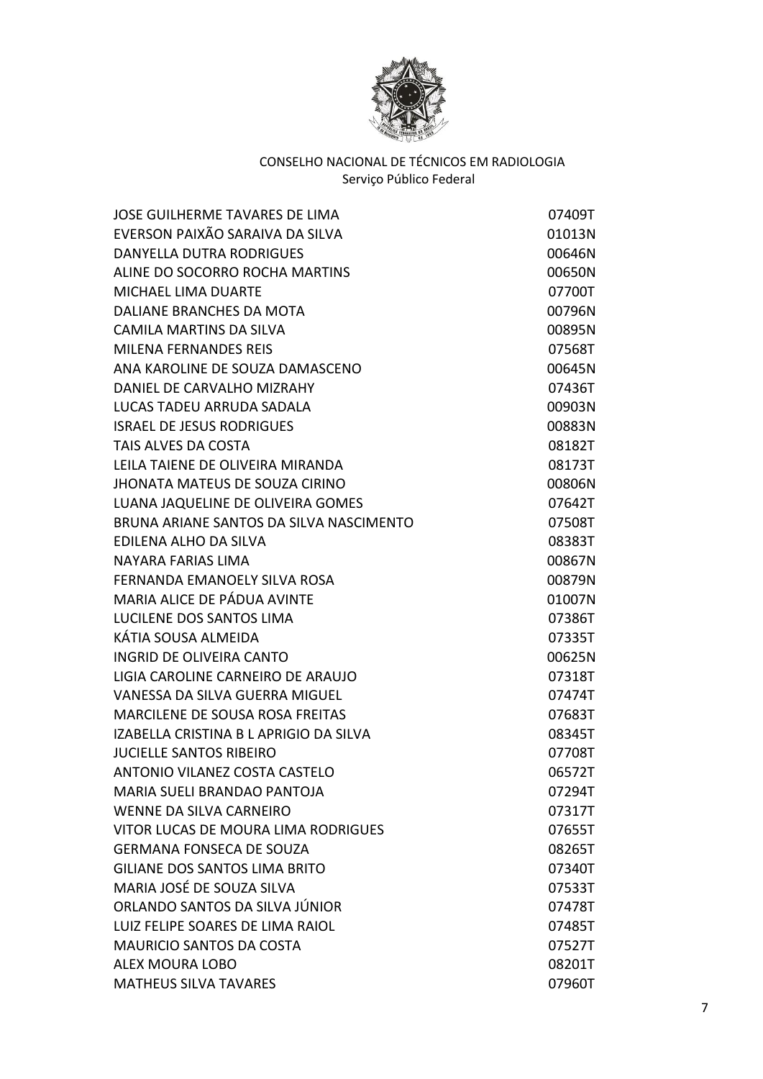

| <b>JOSE GUILHERME TAVARES DE LIMA</b>   | 07409T |
|-----------------------------------------|--------|
| EVERSON PAIXÃO SARAIVA DA SILVA         | 01013N |
| <b>DANYELLA DUTRA RODRIGUES</b>         | 00646N |
| ALINE DO SOCORRO ROCHA MARTINS          | 00650N |
| <b>MICHAEL LIMA DUARTE</b>              | 07700T |
| DALIANE BRANCHES DA MOTA                | 00796N |
| <b>CAMILA MARTINS DA SILVA</b>          | 00895N |
| <b>MILENA FERNANDES REIS</b>            | 07568T |
| ANA KAROLINE DE SOUZA DAMASCENO         | 00645N |
| DANIEL DE CARVALHO MIZRAHY              | 07436T |
| LUCAS TADEU ARRUDA SADALA               | 00903N |
| <b>ISRAEL DE JESUS RODRIGUES</b>        | 00883N |
| TAIS ALVES DA COSTA                     | 08182T |
| LEILA TAIENE DE OLIVEIRA MIRANDA        | 08173T |
| <b>JHONATA MATEUS DE SOUZA CIRINO</b>   | 00806N |
| LUANA JAQUELINE DE OLIVEIRA GOMES       | 07642T |
| BRUNA ARIANE SANTOS DA SILVA NASCIMENTO | 07508T |
| EDILENA ALHO DA SILVA                   | 08383T |
| NAYARA FARIAS LIMA                      | 00867N |
| FERNANDA EMANOELY SILVA ROSA            | 00879N |
| MARIA ALICE DE PÁDUA AVINTE             | 01007N |
| LUCILENE DOS SANTOS LIMA                | 07386T |
| KÁTIA SOUSA ALMEIDA                     | 07335T |
| <b>INGRID DE OLIVEIRA CANTO</b>         | 00625N |
| LIGIA CAROLINE CARNEIRO DE ARAUJO       | 07318T |
| VANESSA DA SILVA GUERRA MIGUEL          | 07474T |
| MARCILENE DE SOUSA ROSA FREITAS         | 07683T |
| IZABELLA CRISTINA B L APRIGIO DA SILVA  | 08345T |
| <b>JUCIELLE SANTOS RIBEIRO</b>          | 07708T |
| ANTONIO VILANEZ COSTA CASTELO           | 06572T |
| <b>MARIA SUELI BRANDAO PANTOJA</b>      | 07294T |
| <b>WENNE DA SILVA CARNEIRO</b>          | 07317T |
| VITOR LUCAS DE MOURA LIMA RODRIGUES     | 07655T |
| <b>GERMANA FONSECA DE SOUZA</b>         | 08265T |
| <b>GILIANE DOS SANTOS LIMA BRITO</b>    | 07340T |
| MARIA JOSÉ DE SOUZA SILVA               | 07533T |
| ORLANDO SANTOS DA SILVA JÚNIOR          | 07478T |
| LUIZ FELIPE SOARES DE LIMA RAIOL        | 07485T |
| <b>MAURICIO SANTOS DA COSTA</b>         | 07527T |
| <b>ALEX MOURA LOBO</b>                  | 08201T |
| <b>MATHEUS SILVA TAVARES</b>            | 07960T |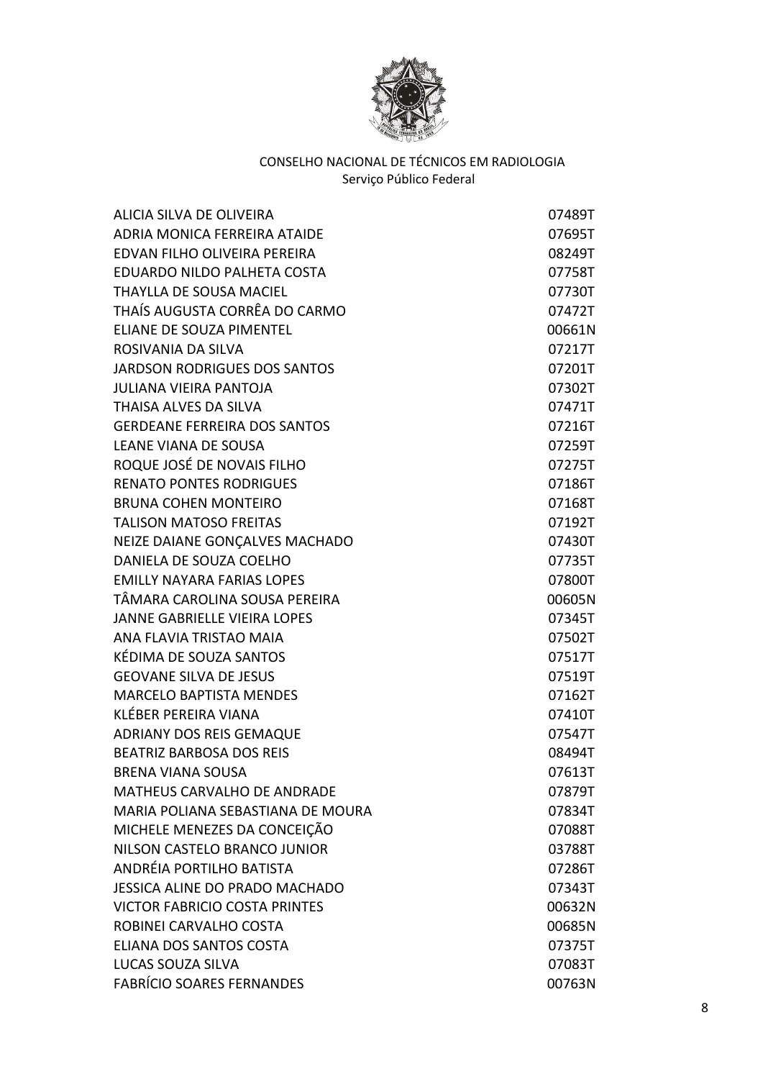

| ALICIA SILVA DE OLIVEIRA              | 07489T |
|---------------------------------------|--------|
| ADRIA MONICA FERREIRA ATAIDE          | 07695T |
| EDVAN FILHO OLIVEIRA PEREIRA          | 08249T |
| EDUARDO NILDO PALHETA COSTA           | 07758T |
| THAYLLA DE SOUSA MACIEL               | 07730T |
| THAÍS AUGUSTA CORRÊA DO CARMO         | 07472T |
| ELIANE DE SOUZA PIMENTEL              | 00661N |
| ROSIVANIA DA SILVA                    | 07217T |
| <b>JARDSON RODRIGUES DOS SANTOS</b>   | 07201T |
| <b>JULIANA VIEIRA PANTOJA</b>         | 07302T |
| THAISA ALVES DA SILVA                 | 07471T |
| <b>GERDEANE FERREIRA DOS SANTOS</b>   | 07216T |
| <b>LEANE VIANA DE SOUSA</b>           | 07259T |
| ROQUE JOSÉ DE NOVAIS FILHO            | 07275T |
| <b>RENATO PONTES RODRIGUES</b>        | 07186T |
| <b>BRUNA COHEN MONTEIRO</b>           | 07168T |
| <b>TALISON MATOSO FREITAS</b>         | 07192T |
| NEIZE DAIANE GONÇALVES MACHADO        | 07430T |
| DANIELA DE SOUZA COELHO               | 07735T |
| <b>EMILLY NAYARA FARIAS LOPES</b>     | 07800T |
| TÂMARA CAROLINA SOUSA PEREIRA         | 00605N |
| <b>JANNE GABRIELLE VIEIRA LOPES</b>   | 07345T |
| ANA FLAVIA TRISTAO MAIA               | 07502T |
| KÉDIMA DE SOUZA SANTOS                | 07517T |
| <b>GEOVANE SILVA DE JESUS</b>         | 07519T |
| <b>MARCELO BAPTISTA MENDES</b>        | 07162T |
| KLÉBER PEREIRA VIANA                  | 07410T |
| <b>ADRIANY DOS REIS GEMAQUE</b>       | 07547T |
| <b>BEATRIZ BARBOSA DOS REIS</b>       | 08494T |
| <b>BRENA VIANA SOUSA</b>              | 07613T |
| <b>MATHEUS CARVALHO DE ANDRADE</b>    | 07879T |
| MARIA POLIANA SEBASTIANA DE MOURA     | 07834T |
| MICHELE MENEZES DA CONCEIÇÃO          | 07088T |
| NILSON CASTELO BRANCO JUNIOR          | 03788T |
| ANDRÉIA PORTILHO BATISTA              | 07286T |
| <b>JESSICA ALINE DO PRADO MACHADO</b> | 07343T |
| <b>VICTOR FABRICIO COSTA PRINTES</b>  | 00632N |
| ROBINEI CARVALHO COSTA                | 00685N |
| ELIANA DOS SANTOS COSTA               | 07375T |
| LUCAS SOUZA SILVA                     | 07083T |
| <b>FABRÍCIO SOARES FERNANDES</b>      | 00763N |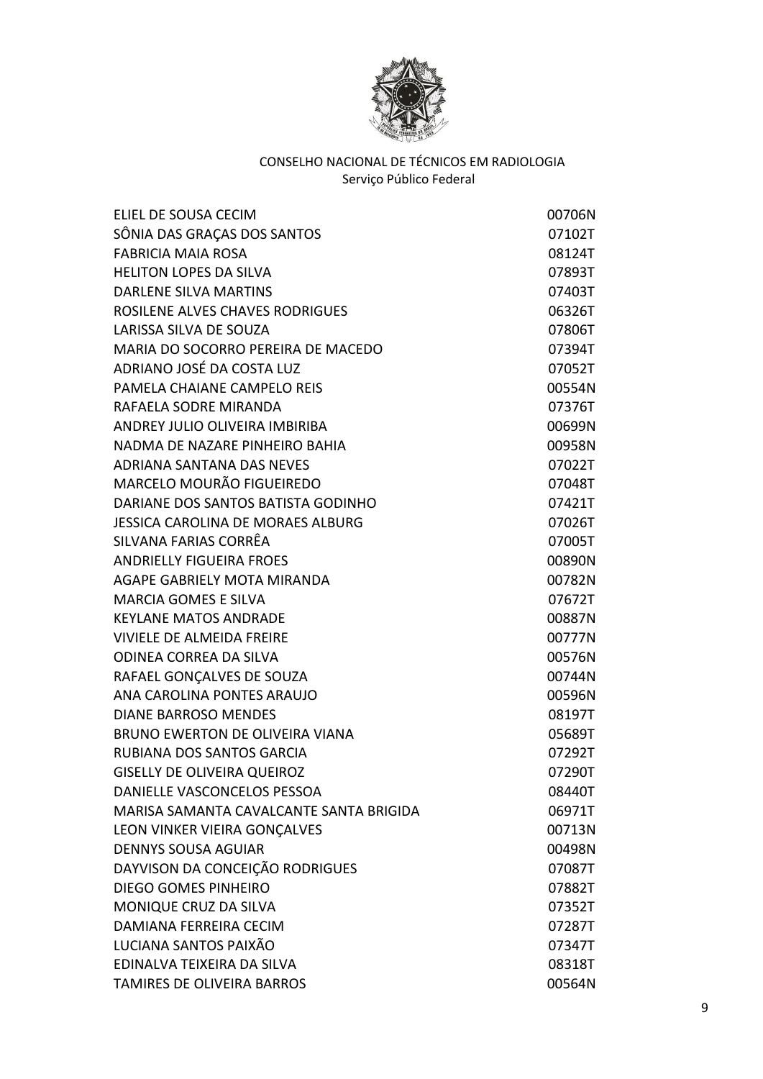

| ELIEL DE SOUSA CECIM                    | 00706N |
|-----------------------------------------|--------|
| SÔNIA DAS GRAÇAS DOS SANTOS             | 07102T |
| <b>FABRICIA MAIA ROSA</b>               | 08124T |
| <b>HELITON LOPES DA SILVA</b>           | 07893T |
| <b>DARLENE SILVA MARTINS</b>            | 07403T |
| ROSILENE ALVES CHAVES RODRIGUES         | 06326T |
| LARISSA SILVA DE SOUZA                  | 07806T |
| MARIA DO SOCORRO PEREIRA DE MACEDO      | 07394T |
| ADRIANO JOSÉ DA COSTA LUZ               | 07052T |
| PAMELA CHAIANE CAMPELO REIS             | 00554N |
| RAFAELA SODRE MIRANDA                   | 07376T |
| ANDREY JULIO OLIVEIRA IMBIRIBA          | 00699N |
| NADMA DE NAZARE PINHEIRO BAHIA          | 00958N |
| <b>ADRIANA SANTANA DAS NEVES</b>        | 07022T |
| MARCELO MOURÃO FIGUEIREDO               | 07048T |
| DARIANE DOS SANTOS BATISTA GODINHO      | 07421T |
| JESSICA CAROLINA DE MORAES ALBURG       | 07026T |
| SILVANA FARIAS CORRÊA                   | 07005T |
| <b>ANDRIELLY FIGUEIRA FROES</b>         | 00890N |
| AGAPE GABRIELY MOTA MIRANDA             | 00782N |
| <b>MARCIA GOMES E SILVA</b>             | 07672T |
| <b>KEYLANE MATOS ANDRADE</b>            | 00887N |
| <b>VIVIELE DE ALMEIDA FREIRE</b>        | 00777N |
| <b>ODINEA CORREA DA SILVA</b>           | 00576N |
| RAFAEL GONÇALVES DE SOUZA               | 00744N |
| ANA CAROLINA PONTES ARAUJO              | 00596N |
| <b>DIANE BARROSO MENDES</b>             | 08197T |
| <b>BRUNO EWERTON DE OLIVEIRA VIANA</b>  | 05689T |
| RUBIANA DOS SANTOS GARCIA               | 07292T |
| <b>GISELLY DE OLIVEIRA QUEIROZ</b>      | 07290T |
| DANIELLE VASCONCELOS PESSOA             | 08440T |
| MARISA SAMANTA CAVALCANTE SANTA BRIGIDA | 06971T |
| LEON VINKER VIEIRA GONCALVES            | 00713N |
| <b>DENNYS SOUSA AGUIAR</b>              | 00498N |
| DAYVISON DA CONCEIÇÃO RODRIGUES         | 07087T |
| DIEGO GOMES PINHEIRO                    | 07882T |
| MONIQUE CRUZ DA SILVA                   | 07352T |
| DAMIANA FERREIRA CECIM                  | 07287T |
| LUCIANA SANTOS PAIXÃO                   | 07347T |
| EDINALVA TEIXEIRA DA SILVA              | 08318T |
| TAMIRES DE OLIVEIRA BARROS              | 00564N |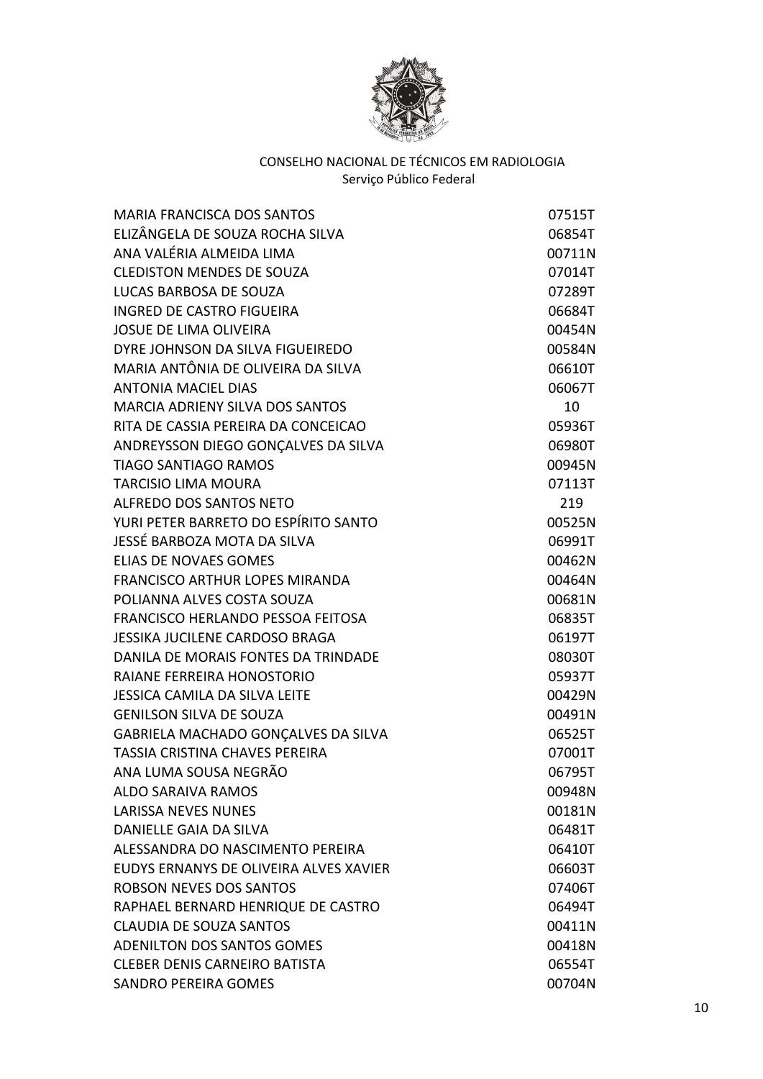

| <b>MARIA FRANCISCA DOS SANTOS</b>        | 07515T |
|------------------------------------------|--------|
| ELIZÂNGELA DE SOUZA ROCHA SILVA          | 06854T |
| ANA VALÉRIA ALMEIDA LIMA                 | 00711N |
| <b>CLEDISTON MENDES DE SOUZA</b>         | 07014T |
| LUCAS BARBOSA DE SOUZA                   | 07289T |
| <b>INGRED DE CASTRO FIGUEIRA</b>         | 06684T |
| <b>JOSUE DE LIMA OLIVEIRA</b>            | 00454N |
| DYRE JOHNSON DA SILVA FIGUEIREDO         | 00584N |
| MARIA ANTÔNIA DE OLIVEIRA DA SILVA       | 06610T |
| <b>ANTONIA MACIEL DIAS</b>               | 06067T |
| <b>MARCIA ADRIENY SILVA DOS SANTOS</b>   | 10     |
| RITA DE CASSIA PEREIRA DA CONCEICAO      | 05936T |
| ANDREYSSON DIEGO GONÇALVES DA SILVA      | 06980T |
| <b>TIAGO SANTIAGO RAMOS</b>              | 00945N |
| <b>TARCISIO LIMA MOURA</b>               | 07113T |
| ALFREDO DOS SANTOS NETO                  | 219    |
| YURI PETER BARRETO DO ESPÍRITO SANTO     | 00525N |
| JESSÉ BARBOZA MOTA DA SILVA              | 06991T |
| <b>ELIAS DE NOVAES GOMES</b>             | 00462N |
| <b>FRANCISCO ARTHUR LOPES MIRANDA</b>    | 00464N |
| POLIANNA ALVES COSTA SOUZA               | 00681N |
| <b>FRANCISCO HERLANDO PESSOA FEITOSA</b> | 06835T |
| <b>JESSIKA JUCILENE CARDOSO BRAGA</b>    | 06197T |
| DANILA DE MORAIS FONTES DA TRINDADE      | 08030T |
| <b>RAIANE FERREIRA HONOSTORIO</b>        | 05937T |
| <b>JESSICA CAMILA DA SILVA LEITE</b>     | 00429N |
| <b>GENILSON SILVA DE SOUZA</b>           | 00491N |
| GABRIELA MACHADO GONÇALVES DA SILVA      | 06525T |
| <b>TASSIA CRISTINA CHAVES PEREIRA</b>    | 07001T |
| ANA LUMA SOUSA NEGRÃO                    | 06795T |
| ALDO SARAIVA RAMOS                       | 00948N |
| <b>LARISSA NEVES NUNES</b>               | 00181N |
| <b>DANIELLE GAIA DA SILVA</b>            | 06481T |
| ALESSANDRA DO NASCIMENTO PEREIRA         | 06410T |
| EUDYS ERNANYS DE OLIVEIRA ALVES XAVIER   | 06603T |
| ROBSON NEVES DOS SANTOS                  | 07406T |
| RAPHAEL BERNARD HENRIQUE DE CASTRO       | 06494T |
| <b>CLAUDIA DE SOUZA SANTOS</b>           | 00411N |
| ADENILTON DOS SANTOS GOMES               | 00418N |
| <b>CLEBER DENIS CARNEIRO BATISTA</b>     | 06554T |
| <b>SANDRO PEREIRA GOMES</b>              | 00704N |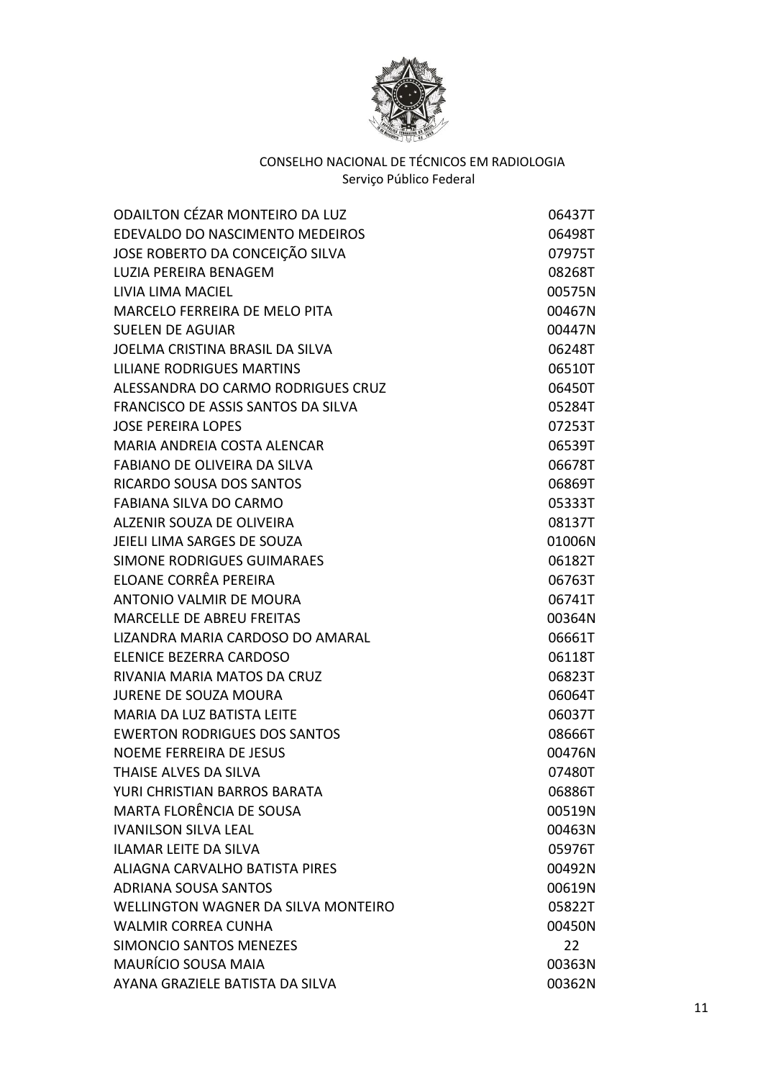

| <b>ODAILTON CÉZAR MONTEIRO DA LUZ</b>      | 06437T |
|--------------------------------------------|--------|
| EDEVALDO DO NASCIMENTO MEDEIROS            | 06498T |
| JOSE ROBERTO DA CONCEIÇÃO SILVA            | 07975T |
| <b>LUZIA PEREIRA BENAGEM</b>               | 08268T |
| LIVIA LIMA MACIEL                          | 00575N |
| <b>MARCELO FERREIRA DE MELO PITA</b>       | 00467N |
| <b>SUELEN DE AGUIAR</b>                    | 00447N |
| JOELMA CRISTINA BRASIL DA SILVA            | 06248T |
| <b>LILIANE RODRIGUES MARTINS</b>           | 06510T |
| ALESSANDRA DO CARMO RODRIGUES CRUZ         | 06450T |
| FRANCISCO DE ASSIS SANTOS DA SILVA         | 05284T |
| <b>JOSE PEREIRA LOPES</b>                  | 07253T |
| MARIA ANDREIA COSTA ALENCAR                | 06539T |
| <b>FABIANO DE OLIVEIRA DA SILVA</b>        | 06678T |
| <b>RICARDO SOUSA DOS SANTOS</b>            | 06869T |
| <b>FABIANA SILVA DO CARMO</b>              | 05333T |
| ALZENIR SOUZA DE OLIVEIRA                  | 08137T |
| JEIELI LIMA SARGES DE SOUZA                | 01006N |
| <b>SIMONE RODRIGUES GUIMARAES</b>          | 06182T |
| ELOANE CORRÊA PEREIRA                      | 06763T |
| <b>ANTONIO VALMIR DE MOURA</b>             | 06741T |
| <b>MARCELLE DE ABREU FREITAS</b>           | 00364N |
| LIZANDRA MARIA CARDOSO DO AMARAL           | 06661T |
| ELENICE BEZERRA CARDOSO                    | 06118T |
| RIVANIA MARIA MATOS DA CRUZ                | 06823T |
| <b>JURENE DE SOUZA MOURA</b>               | 06064T |
| <b>MARIA DA LUZ BATISTA LEITE</b>          | 06037T |
| <b>EWERTON RODRIGUES DOS SANTOS</b>        | 08666T |
| NOEME FERREIRA DE JESUS                    | 00476N |
| THAISE ALVES DA SILVA                      | 07480T |
| YURI CHRISTIAN BARROS BARATA               | 06886T |
| <b>MARTA FLORÊNCIA DE SOUSA</b>            | 00519N |
| <b>IVANILSON SILVA LEAL</b>                | 00463N |
| <b>ILAMAR LEITE DA SILVA</b>               | 05976T |
| ALIAGNA CARVALHO BATISTA PIRES             | 00492N |
| <b>ADRIANA SOUSA SANTOS</b>                | 00619N |
| <b>WELLINGTON WAGNER DA SILVA MONTEIRO</b> | 05822T |
| <b>WALMIR CORREA CUNHA</b>                 | 00450N |
| SIMONCIO SANTOS MENEZES                    | 22     |
| MAURÍCIO SOUSA MAIA                        | 00363N |
| AYANA GRAZIELE BATISTA DA SILVA            | 00362N |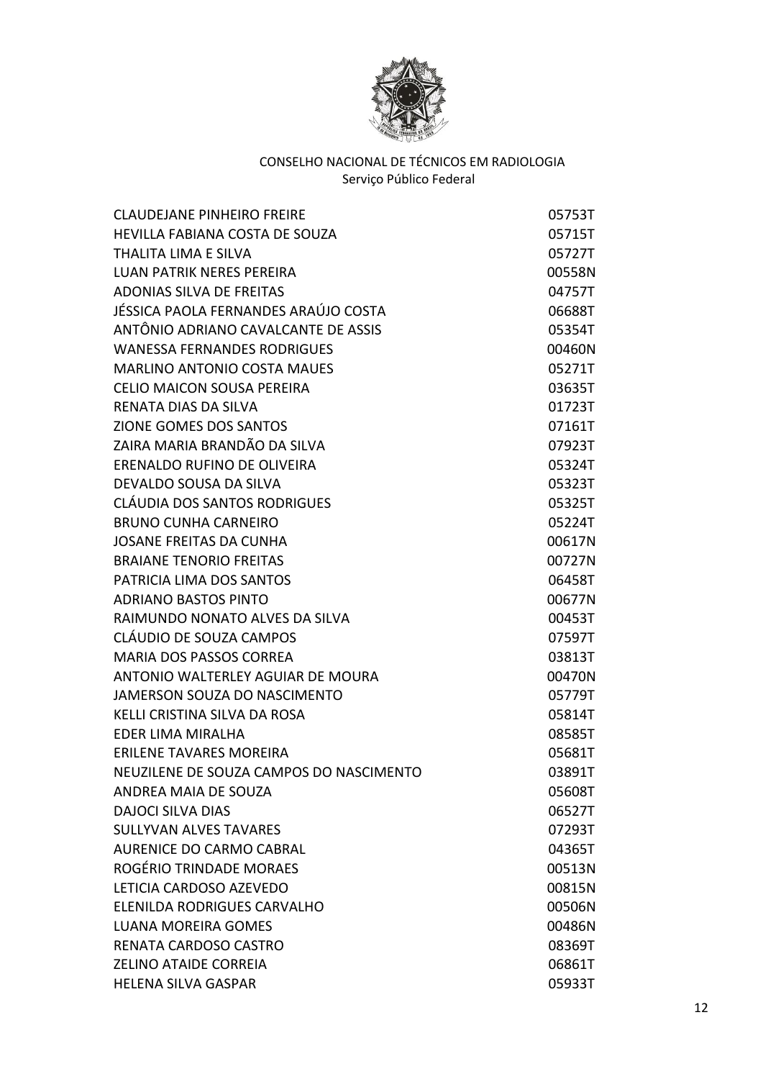

| <b>CLAUDEJANE PINHEIRO FREIRE</b>       | 05753T |
|-----------------------------------------|--------|
| HEVILLA FABIANA COSTA DE SOUZA          | 05715T |
| <b>THALITA LIMA E SILVA</b>             | 05727T |
| <b>LUAN PATRIK NERES PEREIRA</b>        | 00558N |
| <b>ADONIAS SILVA DE FREITAS</b>         | 04757T |
| JÉSSICA PAOLA FERNANDES ARAÚJO COSTA    | 06688T |
| ANTÔNIO ADRIANO CAVALCANTE DE ASSIS     | 05354T |
| <b>WANESSA FERNANDES RODRIGUES</b>      | 00460N |
| <b>MARLINO ANTONIO COSTA MAUES</b>      | 05271T |
| <b>CELIO MAICON SOUSA PEREIRA</b>       | 03635T |
| RENATA DIAS DA SILVA                    | 01723T |
| ZIONE GOMES DOS SANTOS                  | 07161T |
| ZAIRA MARIA BRANDÃO DA SILVA            | 07923T |
| ERENALDO RUFINO DE OLIVEIRA             | 05324T |
| DEVALDO SOUSA DA SILVA                  | 05323T |
| CLÁUDIA DOS SANTOS RODRIGUES            | 05325T |
| <b>BRUNO CUNHA CARNEIRO</b>             | 05224T |
| <b>JOSANE FREITAS DA CUNHA</b>          | 00617N |
| <b>BRAIANE TENORIO FREITAS</b>          | 00727N |
| PATRICIA LIMA DOS SANTOS                | 06458T |
| <b>ADRIANO BASTOS PINTO</b>             | 00677N |
| RAIMUNDO NONATO ALVES DA SILVA          | 00453T |
| CLÁUDIO DE SOUZA CAMPOS                 | 07597T |
| <b>MARIA DOS PASSOS CORREA</b>          | 03813T |
| ANTONIO WALTERLEY AGUIAR DE MOURA       | 00470N |
| JAMERSON SOUZA DO NASCIMENTO            | 05779T |
| KELLI CRISTINA SILVA DA ROSA            | 05814T |
| EDER LIMA MIRALHA                       | 08585T |
| <b>ERILENE TAVARES MOREIRA</b>          | 05681T |
| NEUZILENE DE SOUZA CAMPOS DO NASCIMENTO | 03891T |
| ANDREA MAIA DE SOUZA                    | 05608T |
| <b>DAJOCI SILVA DIAS</b>                | 06527T |
| <b>SULLYVAN ALVES TAVARES</b>           | 07293T |
| <b>AURENICE DO CARMO CABRAL</b>         | 04365T |
| ROGÉRIO TRINDADE MORAES                 | 00513N |
| LETICIA CARDOSO AZEVEDO                 | 00815N |
| ELENILDA RODRIGUES CARVALHO             | 00506N |
| <b>LUANA MOREIRA GOMES</b>              | 00486N |
| RENATA CARDOSO CASTRO                   | 08369T |
| <b>ZELINO ATAIDE CORREIA</b>            | 06861T |
| <b>HELENA SILVA GASPAR</b>              | 05933T |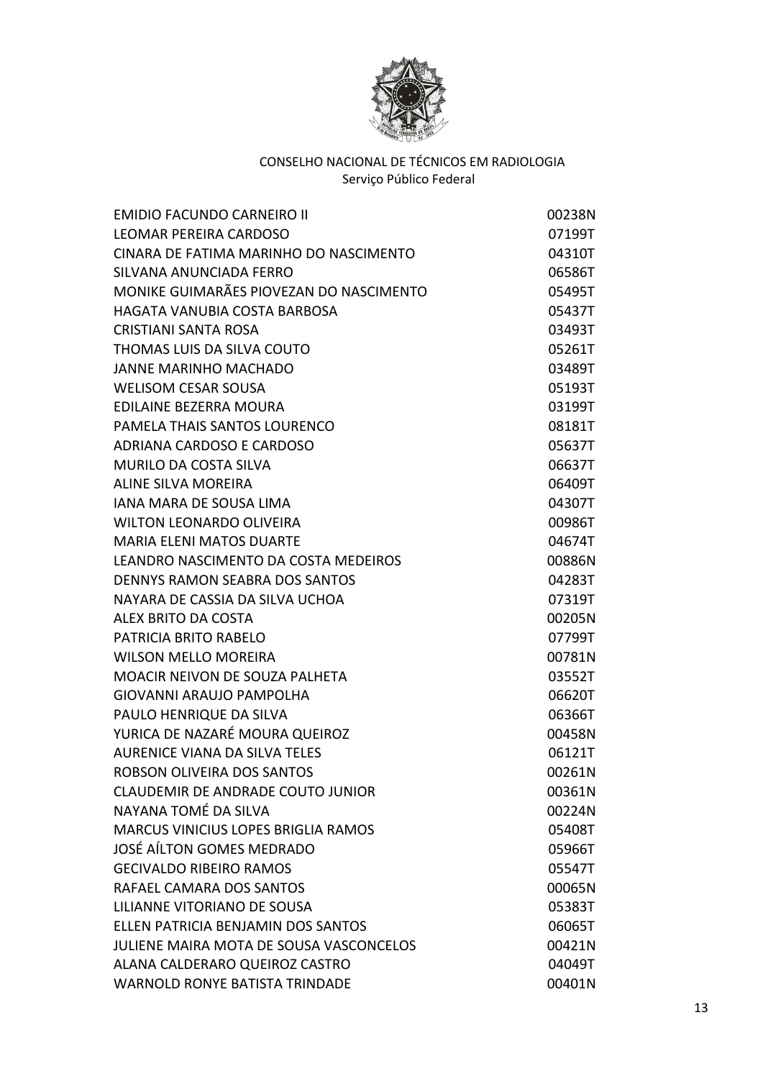

| <b>EMIDIO FACUNDO CARNEIRO II</b>       | 00238N |
|-----------------------------------------|--------|
| LEOMAR PEREIRA CARDOSO                  | 07199T |
| CINARA DE FATIMA MARINHO DO NASCIMENTO  | 04310T |
| SILVANA ANUNCIADA FERRO                 | 06586T |
| MONIKE GUIMARÃES PIOVEZAN DO NASCIMENTO | 05495T |
| HAGATA VANUBIA COSTA BARBOSA            | 05437T |
| <b>CRISTIANI SANTA ROSA</b>             | 03493T |
| THOMAS LUIS DA SILVA COUTO              | 05261T |
| <b>JANNE MARINHO MACHADO</b>            | 03489T |
| <b>WELISOM CESAR SOUSA</b>              | 05193T |
| <b>EDILAINE BEZERRA MOURA</b>           | 03199T |
| PAMELA THAIS SANTOS LOURENCO            | 08181T |
| ADRIANA CARDOSO E CARDOSO               | 05637T |
| <b>MURILO DA COSTA SILVA</b>            | 06637T |
| <b>ALINE SILVA MOREIRA</b>              | 06409T |
| <b>IANA MARA DE SOUSA LIMA</b>          | 04307T |
| <b>WILTON LEONARDO OLIVEIRA</b>         | 00986T |
| <b>MARIA ELENI MATOS DUARTE</b>         | 04674T |
| LEANDRO NASCIMENTO DA COSTA MEDEIROS    | 00886N |
| <b>DENNYS RAMON SEABRA DOS SANTOS</b>   | 04283T |
| NAYARA DE CASSIA DA SILVA UCHOA         | 07319T |
| ALEX BRITO DA COSTA                     | 00205N |
| PATRICIA BRITO RABELO                   | 07799T |
| <b>WILSON MELLO MOREIRA</b>             | 00781N |
| MOACIR NEIVON DE SOUZA PALHETA          | 03552T |
| <b>GIOVANNI ARAUJO PAMPOLHA</b>         | 06620T |
| PAULO HENRIQUE DA SILVA                 | 06366T |
| YURICA DE NAZARÉ MOURA QUEIROZ          | 00458N |
| <b>AURENICE VIANA DA SILVA TELES</b>    | 06121T |
| ROBSON OLIVEIRA DOS SANTOS              | 00261N |
| CLAUDEMIR DE ANDRADE COUTO JUNIOR       | 00361N |
| NAYANA TOMÉ DA SILVA                    | 00224N |
| MARCUS VINICIUS LOPES BRIGLIA RAMOS     | 05408T |
| JOSÉ AÍLTON GOMES MEDRADO               | 05966T |
| <b>GECIVALDO RIBEIRO RAMOS</b>          | 05547T |
| RAFAEL CAMARA DOS SANTOS                | 00065N |
| LILIANNE VITORIANO DE SOUSA             | 05383T |
| ELLEN PATRICIA BENJAMIN DOS SANTOS      | 06065T |
| JULIENE MAIRA MOTA DE SOUSA VASCONCELOS | 00421N |
| ALANA CALDERARO QUEIROZ CASTRO          | 04049T |
| <b>WARNOLD RONYE BATISTA TRINDADE</b>   | 00401N |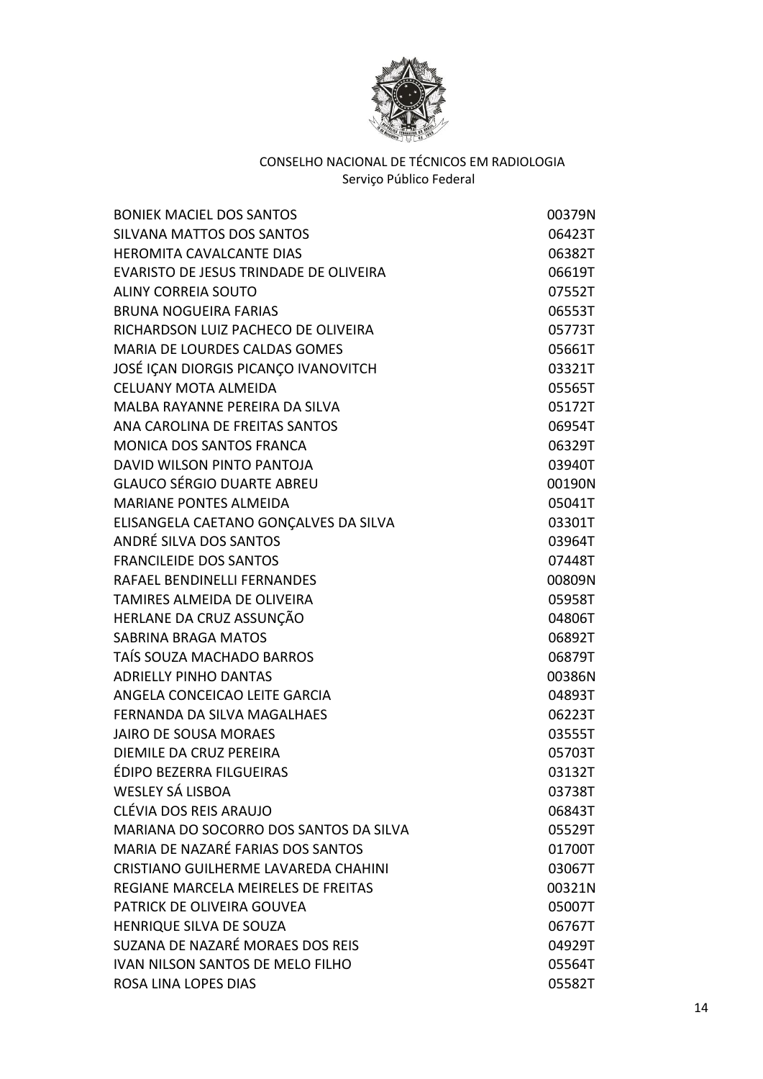

| <b>BONIEK MACIEL DOS SANTOS</b>        | 00379N |
|----------------------------------------|--------|
| <b>SILVANA MATTOS DOS SANTOS</b>       | 06423T |
| <b>HEROMITA CAVALCANTE DIAS</b>        | 06382T |
| EVARISTO DE JESUS TRINDADE DE OLIVEIRA | 06619T |
| <b>ALINY CORREIA SOUTO</b>             | 07552T |
| <b>BRUNA NOGUEIRA FARIAS</b>           | 06553T |
| RICHARDSON LUIZ PACHECO DE OLIVEIRA    | 05773T |
| MARIA DE LOURDES CALDAS GOMES          | 05661T |
| JOSÉ IÇAN DIORGIS PICANÇO IVANOVITCH   | 03321T |
| CELUANY MOTA ALMEIDA                   | 05565T |
| MALBA RAYANNE PEREIRA DA SILVA         | 05172T |
| ANA CAROLINA DE FREITAS SANTOS         | 06954T |
| <b>MONICA DOS SANTOS FRANCA</b>        | 06329T |
| DAVID WILSON PINTO PANTOJA             | 03940T |
| <b>GLAUCO SÉRGIO DUARTE ABREU</b>      | 00190N |
| MARIANE PONTES ALMEIDA                 | 05041T |
| ELISANGELA CAETANO GONÇALVES DA SILVA  | 03301T |
| ANDRÉ SILVA DOS SANTOS                 | 03964T |
| <b>FRANCILEIDE DOS SANTOS</b>          | 07448T |
| RAFAEL BENDINELLI FERNANDES            | 00809N |
| TAMIRES ALMEIDA DE OLIVEIRA            | 05958T |
| HERLANE DA CRUZ ASSUNÇÃO               | 04806T |
| <b>SABRINA BRAGA MATOS</b>             | 06892T |
| TAÍS SOUZA MACHADO BARROS              | 06879T |
| <b>ADRIELLY PINHO DANTAS</b>           | 00386N |
| ANGELA CONCEICAO LEITE GARCIA          | 04893T |
| FERNANDA DA SILVA MAGALHAES            | 06223T |
| <b>JAIRO DE SOUSA MORAES</b>           | 03555T |
| <b>DIEMILE DA CRUZ PEREIRA</b>         | 05703T |
| ÉDIPO BEZERRA FILGUEIRAS               | 03132T |
| WESLEY SÁ LISBOA                       | 03738T |
| CLÉVIA DOS REIS ARAUJO                 | 06843T |
| MARIANA DO SOCORRO DOS SANTOS DA SILVA | 05529T |
| MARIA DE NAZARÉ FARIAS DOS SANTOS      | 01700T |
| CRISTIANO GUILHERME LAVAREDA CHAHINI   | 03067T |
| REGIANE MARCELA MEIRELES DE FREITAS    | 00321N |
| PATRICK DE OLIVEIRA GOUVEA             | 05007T |
| HENRIQUE SILVA DE SOUZA                | 06767T |
| SUZANA DE NAZARÉ MORAES DOS REIS       | 04929T |
| IVAN NILSON SANTOS DE MELO FILHO       | 05564T |
| ROSA LINA LOPES DIAS                   | 05582T |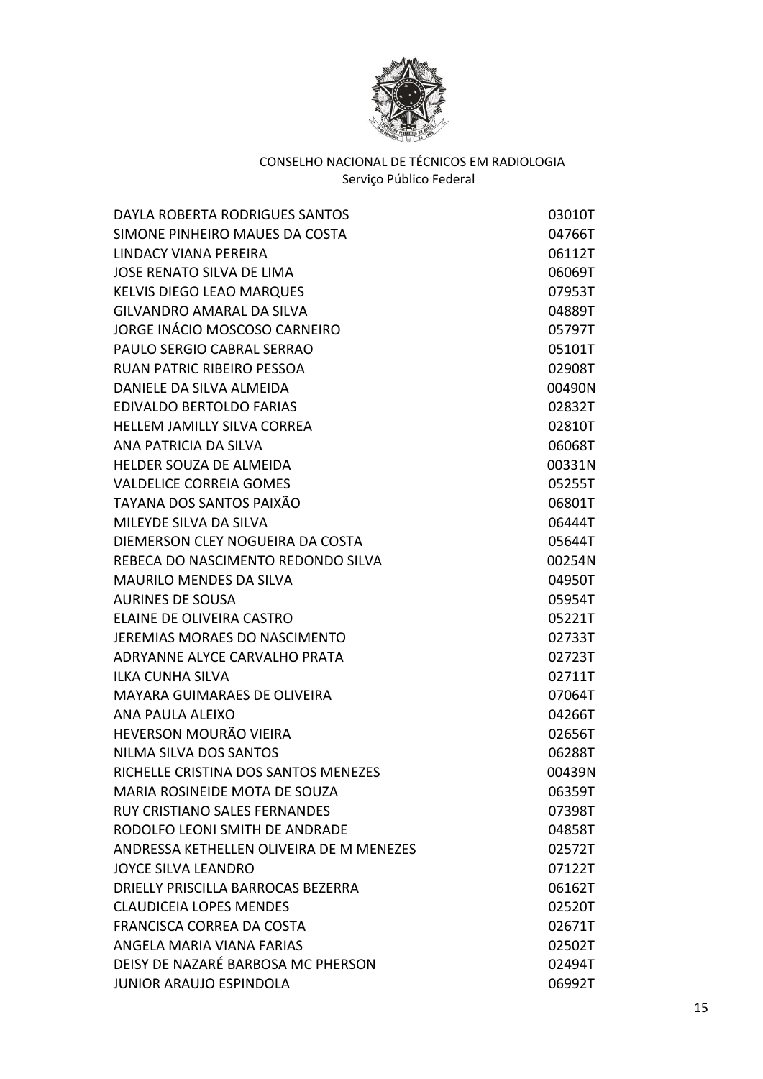

| DAYLA ROBERTA RODRIGUES SANTOS           | 03010T |
|------------------------------------------|--------|
| SIMONE PINHEIRO MAUES DA COSTA           | 04766T |
| LINDACY VIANA PEREIRA                    | 06112T |
| JOSE RENATO SILVA DE LIMA                | 06069T |
| <b>KELVIS DIEGO LEAO MARQUES</b>         | 07953T |
| <b>GILVANDRO AMARAL DA SILVA</b>         | 04889T |
| JORGE INÁCIO MOSCOSO CARNEIRO            | 05797T |
| PAULO SERGIO CABRAL SERRAO               | 05101T |
| <b>RUAN PATRIC RIBEIRO PESSOA</b>        | 02908T |
| DANIELE DA SILVA ALMEIDA                 | 00490N |
| <b>EDIVALDO BERTOLDO FARIAS</b>          | 02832T |
| <b>HELLEM JAMILLY SILVA CORREA</b>       | 02810T |
| ANA PATRICIA DA SILVA                    | 06068T |
| HELDER SOUZA DE ALMEIDA                  | 00331N |
| <b>VALDELICE CORREIA GOMES</b>           | 05255T |
| TAYANA DOS SANTOS PAIXÃO                 | 06801T |
| MILEYDE SILVA DA SILVA                   | 06444T |
| DIEMERSON CLEY NOGUEIRA DA COSTA         | 05644T |
| REBECA DO NASCIMENTO REDONDO SILVA       | 00254N |
| <b>MAURILO MENDES DA SILVA</b>           | 04950T |
| <b>AURINES DE SOUSA</b>                  | 05954T |
| ELAINE DE OLIVEIRA CASTRO                | 05221T |
| JEREMIAS MORAES DO NASCIMENTO            | 02733T |
| ADRYANNE ALYCE CARVALHO PRATA            | 02723T |
| <b>ILKA CUNHA SILVA</b>                  | 02711T |
| MAYARA GUIMARAES DE OLIVEIRA             | 07064T |
| ANA PAULA ALEIXO                         | 04266T |
| HEVERSON MOURÃO VIEIRA                   | 02656T |
| NILMA SILVA DOS SANTOS                   | 06288T |
| RICHELLE CRISTINA DOS SANTOS MENEZES     | 00439N |
| MARIA ROSINEIDE MOTA DE SOUZA            | 06359T |
| <b>RUY CRISTIANO SALES FERNANDES</b>     | 07398T |
| RODOLFO LEONI SMITH DE ANDRADE           | 04858T |
| ANDRESSA KETHELLEN OLIVEIRA DE M MENEZES | 02572T |
| <b>JOYCE SILVA LEANDRO</b>               | 07122T |
| DRIELLY PRISCILLA BARROCAS BEZERRA       | 06162T |
| <b>CLAUDICEIA LOPES MENDES</b>           | 02520T |
| <b>FRANCISCA CORREA DA COSTA</b>         | 02671T |
| ANGELA MARIA VIANA FARIAS                | 02502T |
| DEISY DE NAZARÉ BARBOSA MC PHERSON       | 02494T |
| <b>JUNIOR ARAUJO ESPINDOLA</b>           | 06992T |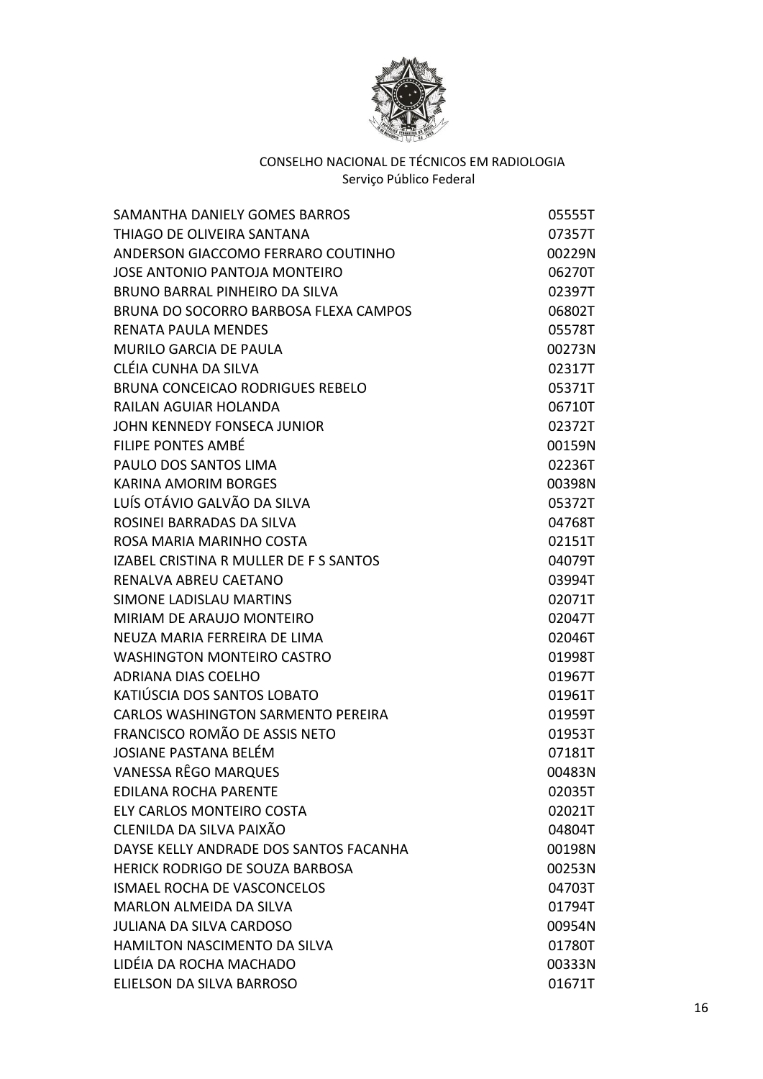

| SAMANTHA DANIELY GOMES BARROS           | 05555T |
|-----------------------------------------|--------|
| THIAGO DE OLIVEIRA SANTANA              | 07357T |
| ANDERSON GIACCOMO FERRARO COUTINHO      | 00229N |
| <b>JOSE ANTONIO PANTOJA MONTEIRO</b>    | 06270T |
| BRUNO BARRAL PINHEIRO DA SILVA          | 02397T |
| BRUNA DO SOCORRO BARBOSA FLEXA CAMPOS   | 06802T |
| <b>RENATA PAULA MENDES</b>              | 05578T |
| <b>MURILO GARCIA DE PAULA</b>           | 00273N |
| CLÉIA CUNHA DA SILVA                    | 02317T |
| <b>BRUNA CONCEICAO RODRIGUES REBELO</b> | 05371T |
| <b>RAILAN AGUIAR HOLANDA</b>            | 06710T |
| JOHN KENNEDY FONSECA JUNIOR             | 02372T |
| FILIPE PONTES AMBÉ                      | 00159N |
| PAULO DOS SANTOS LIMA                   | 02236T |
| <b>KARINA AMORIM BORGES</b>             | 00398N |
| LUÍS OTÁVIO GALVÃO DA SILVA             | 05372T |
| ROSINEI BARRADAS DA SILVA               | 04768T |
| ROSA MARIA MARINHO COSTA                | 02151T |
| IZABEL CRISTINA R MULLER DE F S SANTOS  | 04079T |
| RENALVA ABREU CAETANO                   | 03994T |
| <b>SIMONE LADISLAU MARTINS</b>          | 02071T |
| MIRIAM DE ARAUJO MONTEIRO               | 02047T |
| NEUZA MARIA FERREIRA DE LIMA            | 02046T |
| <b>WASHINGTON MONTEIRO CASTRO</b>       | 01998T |
| <b>ADRIANA DIAS COELHO</b>              | 01967T |
| KATIÚSCIA DOS SANTOS LOBATO             | 01961T |
| CARLOS WASHINGTON SARMENTO PEREIRA      | 01959T |
| FRANCISCO ROMÃO DE ASSIS NETO           | 01953T |
| <b>JOSIANE PASTANA BELÉM</b>            | 07181T |
| VANESSA RÊGO MARQUES                    | 00483N |
| <b>EDILANA ROCHA PARENTE</b>            | 02035T |
| ELY CARLOS MONTEIRO COSTA               | 02021T |
| CLENILDA DA SILVA PAIXÃO                | 04804T |
| DAYSE KELLY ANDRADE DOS SANTOS FACANHA  | 00198N |
| HERICK RODRIGO DE SOUZA BARBOSA         | 00253N |
| ISMAEL ROCHA DE VASCONCELOS             | 04703T |
| <b>MARLON ALMEIDA DA SILVA</b>          | 01794T |
| <b>JULIANA DA SILVA CARDOSO</b>         | 00954N |
| <b>HAMILTON NASCIMENTO DA SILVA</b>     | 01780T |
| LIDÉIA DA ROCHA MACHADO                 | 00333N |
| ELIELSON DA SILVA BARROSO               | 01671T |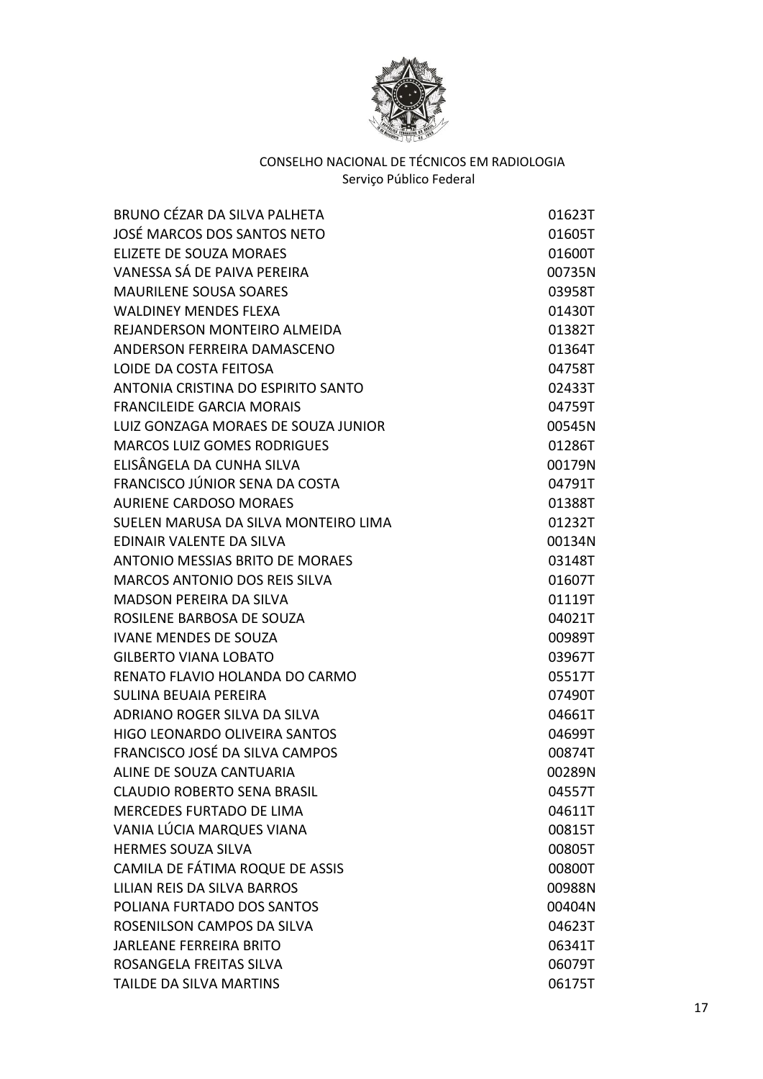

| BRUNO CÉZAR DA SILVA PALHETA           | 01623T |
|----------------------------------------|--------|
| JOSÉ MARCOS DOS SANTOS NETO            | 01605T |
| <b>ELIZETE DE SOUZA MORAES</b>         | 01600T |
| VANESSA SÁ DE PAIVA PEREIRA            | 00735N |
| <b>MAURILENE SOUSA SOARES</b>          | 03958T |
| <b>WALDINEY MENDES FLEXA</b>           | 01430T |
| REJANDERSON MONTEIRO ALMEIDA           | 01382T |
| ANDERSON FERREIRA DAMASCENO            | 01364T |
| LOIDE DA COSTA FEITOSA                 | 04758T |
| ANTONIA CRISTINA DO ESPIRITO SANTO     | 02433T |
| <b>FRANCILEIDE GARCIA MORAIS</b>       | 04759T |
| LUIZ GONZAGA MORAES DE SOUZA JUNIOR    | 00545N |
| <b>MARCOS LUIZ GOMES RODRIGUES</b>     | 01286T |
| ELISÂNGELA DA CUNHA SILVA              | 00179N |
| FRANCISCO JÚNIOR SENA DA COSTA         | 04791T |
| <b>AURIENE CARDOSO MORAES</b>          | 01388T |
| SUELEN MARUSA DA SILVA MONTEIRO LIMA   | 01232T |
| EDINAIR VALENTE DA SILVA               | 00134N |
| <b>ANTONIO MESSIAS BRITO DE MORAES</b> | 03148T |
| <b>MARCOS ANTONIO DOS REIS SILVA</b>   | 01607T |
| <b>MADSON PEREIRA DA SILVA</b>         | 01119T |
| ROSILENE BARBOSA DE SOUZA              | 04021T |
| <b>IVANE MENDES DE SOUZA</b>           | 00989T |
| <b>GILBERTO VIANA LOBATO</b>           | 03967T |
| RENATO FLAVIO HOLANDA DO CARMO         | 05517T |
| <b>SULINA BEUAIA PEREIRA</b>           | 07490T |
| ADRIANO ROGER SILVA DA SILVA           | 04661T |
| HIGO LEONARDO OLIVEIRA SANTOS          | 04699T |
| FRANCISCO JOSÉ DA SILVA CAMPOS         | 00874T |
| ALINE DE SOUZA CANTUARIA               | 00289N |
| <b>CLAUDIO ROBERTO SENA BRASIL</b>     | 04557T |
| MERCEDES FURTADO DE LIMA               | 04611T |
| VANIA LÚCIA MARQUES VIANA              | 00815T |
| <b>HERMES SOUZA SILVA</b>              | 00805T |
| CAMILA DE FÁTIMA ROQUE DE ASSIS        | 00800T |
| LILIAN REIS DA SILVA BARROS            | 00988N |
| POLIANA FURTADO DOS SANTOS             | 00404N |
| ROSENILSON CAMPOS DA SILVA             | 04623T |
| <b>JARLEANE FERREIRA BRITO</b>         | 06341T |
| ROSANGELA FREITAS SILVA                | 06079T |
| <b>TAILDE DA SILVA MARTINS</b>         | 06175T |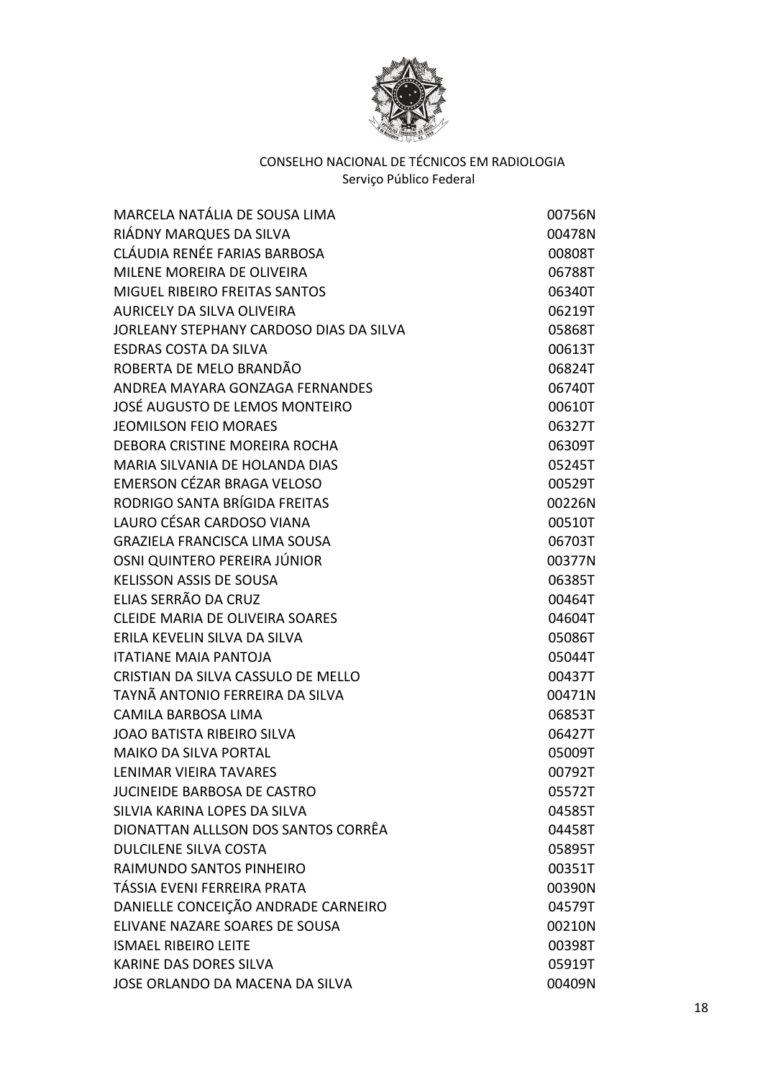

| MARCELA NATÁLIA DE SOUSA LIMA           | 00756N |
|-----------------------------------------|--------|
| RIÁDNY MARQUES DA SILVA                 | 00478N |
| CLÁUDIA RENÉE FARIAS BARBOSA            | 00808T |
| MILENE MOREIRA DE OLIVEIRA              | 06788T |
| <b>MIGUEL RIBEIRO FREITAS SANTOS</b>    | 06340T |
| <b>AURICELY DA SILVA OLIVEIRA</b>       | 06219T |
| JORLEANY STEPHANY CARDOSO DIAS DA SILVA | 05868T |
| <b>ESDRAS COSTA DA SILVA</b>            | 00613T |
| ROBERTA DE MELO BRANDÃO                 | 06824T |
| ANDREA MAYARA GONZAGA FERNANDES         | 06740T |
| JOSÉ AUGUSTO DE LEMOS MONTEIRO          | 00610T |
| <b>JEOMILSON FEIO MORAES</b>            | 06327T |
| DEBORA CRISTINE MOREIRA ROCHA           | 06309T |
| MARIA SILVANIA DE HOLANDA DIAS          | 05245T |
| EMERSON CÉZAR BRAGA VELOSO              | 00529T |
| RODRIGO SANTA BRÍGIDA FREITAS           | 00226N |
| LAURO CÉSAR CARDOSO VIANA               | 00510T |
| <b>GRAZIELA FRANCISCA LIMA SOUSA</b>    | 06703T |
| OSNI QUINTERO PEREIRA JÚNIOR            | 00377N |
| <b>KELISSON ASSIS DE SOUSA</b>          | 06385T |
| ELIAS SERRÃO DA CRUZ                    | 00464T |
| <b>CLEIDE MARIA DE OLIVEIRA SOARES</b>  | 04604T |
| ERILA KEVELIN SILVA DA SILVA            | 05086T |
| <b>ITATIANE MAIA PANTOJA</b>            | 05044T |
| CRISTIAN DA SILVA CASSULO DE MELLO      | 00437T |
| TAYNÃ ANTONIO FERREIRA DA SILVA         | 00471N |
| CAMILA BARBOSA LIMA                     | 06853T |
| <b>JOAO BATISTA RIBEIRO SILVA</b>       | 06427T |
| <b>MAIKO DA SILVA PORTAL</b>            | 05009T |
| LENIMAR VIEIRA TAVARES                  | 00792T |
| <b>JUCINEIDE BARBOSA DE CASTRO</b>      | 05572T |
| SILVIA KARINA LOPES DA SILVA            | 04585T |
| DIONATTAN ALLLSON DOS SANTOS CORRÊA     | 04458T |
| <b>DULCILENE SILVA COSTA</b>            | 05895T |
| RAIMUNDO SANTOS PINHEIRO                | 00351T |
| TÁSSIA EVENI FERREIRA PRATA             | 00390N |
| DANIELLE CONCEIÇÃO ANDRADE CARNEIRO     | 04579T |
| ELIVANE NAZARE SOARES DE SOUSA          | 00210N |
| <b>ISMAEL RIBEIRO LEITE</b>             | 00398T |
| KARINE DAS DORES SILVA                  | 05919T |
| JOSE ORLANDO DA MACENA DA SILVA         | 00409N |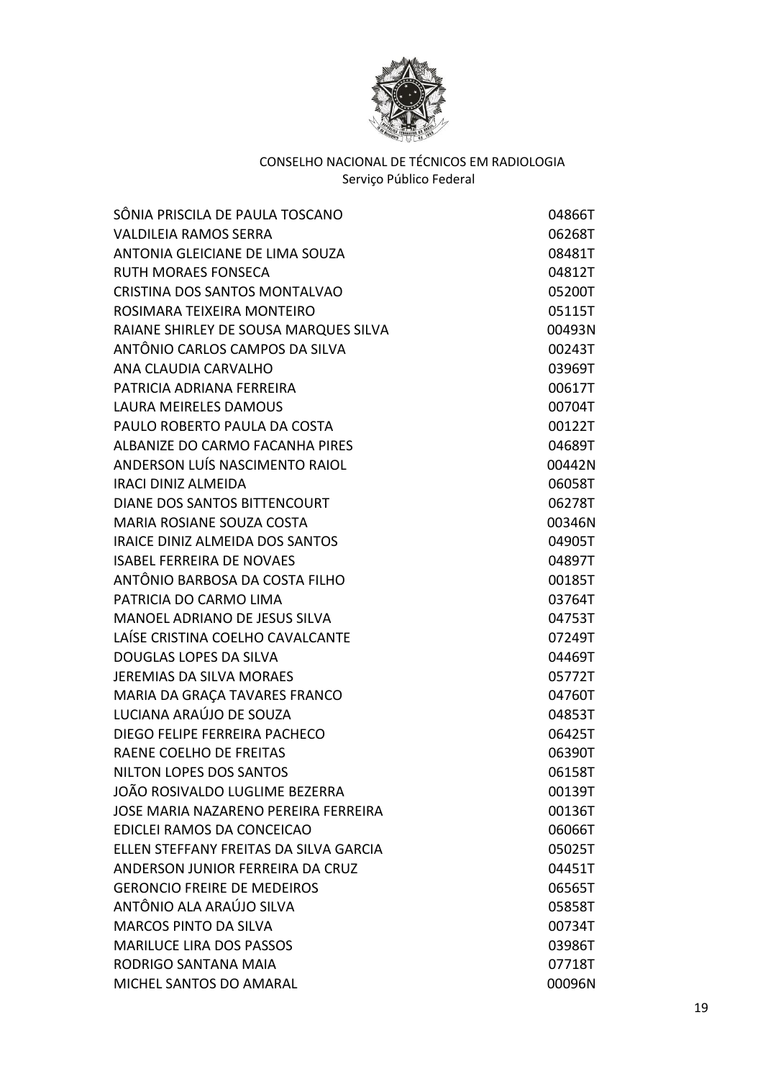

| <b>VALDILEIA RAMOS SERRA</b>                |        |
|---------------------------------------------|--------|
|                                             | 06268T |
| ANTONIA GLEICIANE DE LIMA SOUZA             | 08481T |
| RUTH MORAES FONSECA                         | 04812T |
| CRISTINA DOS SANTOS MONTALVAO               | 05200T |
| ROSIMARA TEIXEIRA MONTEIRO                  | 05115T |
| RAIANE SHIRLEY DE SOUSA MARQUES SILVA       | 00493N |
| ANTÔNIO CARLOS CAMPOS DA SILVA              | 00243T |
| ANA CLAUDIA CARVALHO                        | 03969T |
| PATRICIA ADRIANA FERREIRA                   | 00617T |
| <b>LAURA MEIRELES DAMOUS</b>                | 00704T |
| PAULO ROBERTO PAULA DA COSTA                | 00122T |
| ALBANIZE DO CARMO FACANHA PIRES             | 04689T |
| ANDERSON LUÍS NASCIMENTO RAIOL              | 00442N |
| <b>IRACI DINIZ ALMEIDA</b>                  | 06058T |
| DIANE DOS SANTOS BITTENCOURT                | 06278T |
| MARIA ROSIANE SOUZA COSTA                   | 00346N |
| IRAICE DINIZ ALMEIDA DOS SANTOS             | 04905T |
| <b>ISABEL FERREIRA DE NOVAES</b>            | 04897T |
| ANTÔNIO BARBOSA DA COSTA FILHO              | 00185T |
| PATRICIA DO CARMO LIMA                      | 03764T |
| MANOEL ADRIANO DE JESUS SILVA               | 04753T |
| LAÍSE CRISTINA COELHO CAVALCANTE            | 07249T |
| DOUGLAS LOPES DA SILVA                      | 04469T |
| <b>JEREMIAS DA SILVA MORAES</b>             | 05772T |
| MARIA DA GRAÇA TAVARES FRANCO               | 04760T |
| LUCIANA ARAÚJO DE SOUZA                     | 04853T |
| DIEGO FELIPE FERREIRA PACHECO               | 06425T |
| RAENE COELHO DE FREITAS                     | 06390T |
| NILTON LOPES DOS SANTOS                     | 06158T |
| JOÃO ROSIVALDO LUGLIME BEZERRA              | 00139T |
| <b>JOSE MARIA NAZARENO PEREIRA FERREIRA</b> | 00136T |
| EDICLEI RAMOS DA CONCEICAO                  | 06066T |
| ELLEN STEFFANY FREITAS DA SILVA GARCIA      | 05025T |
| ANDERSON JUNIOR FERREIRA DA CRUZ            | 04451T |
| <b>GERONCIO FREIRE DE MEDEIROS</b>          | 06565T |
| ANTÔNIO ALA ARAÚJO SILVA                    | 05858T |
| <b>MARCOS PINTO DA SILVA</b>                | 00734T |
| <b>MARILUCE LIRA DOS PASSOS</b>             | 03986T |
| RODRIGO SANTANA MAIA                        | 07718T |
| MICHEL SANTOS DO AMARAL                     | 00096N |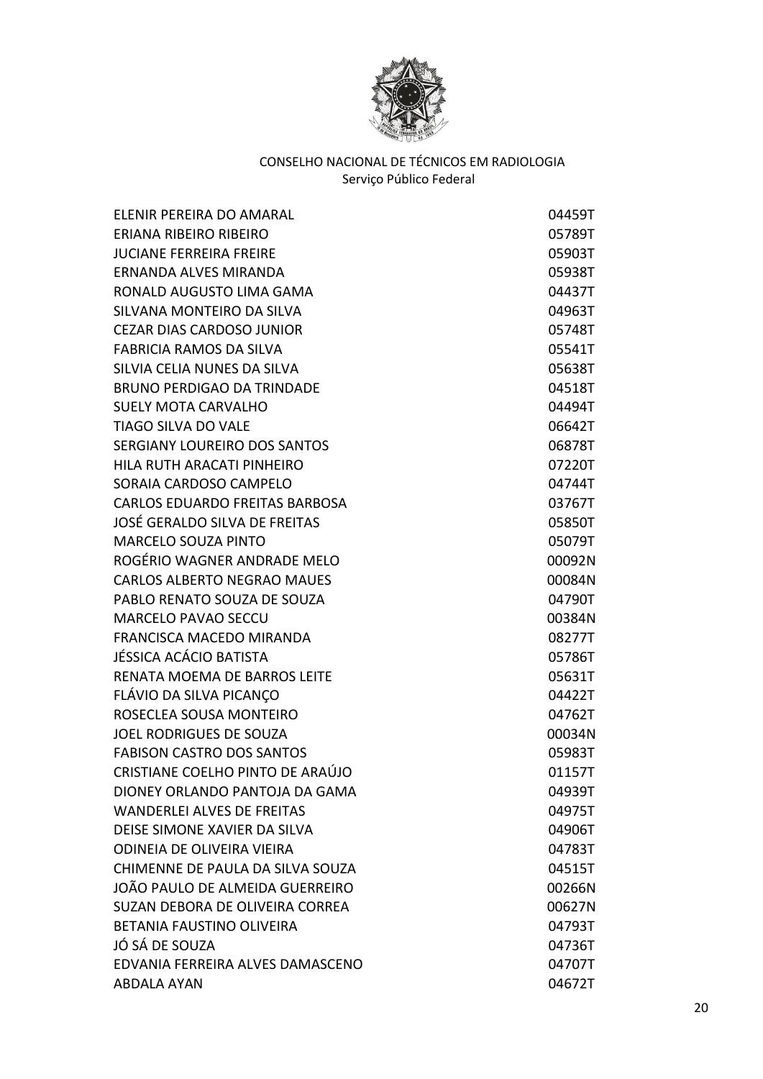

| ELENIR PEREIRA DO AMARAL              | 04459T |
|---------------------------------------|--------|
| ERIANA RIBEIRO RIBEIRO                | 05789T |
| <b>JUCIANE FERREIRA FREIRE</b>        | 05903T |
| ERNANDA ALVES MIRANDA                 | 05938T |
| RONALD AUGUSTO LIMA GAMA              | 04437T |
| SILVANA MONTEIRO DA SILVA             | 04963T |
| <b>CEZAR DIAS CARDOSO JUNIOR</b>      | 05748T |
| <b>FABRICIA RAMOS DA SILVA</b>        | 05541T |
| SILVIA CELIA NUNES DA SILVA           | 05638T |
| <b>BRUNO PERDIGAO DA TRINDADE</b>     | 04518T |
| <b>SUELY MOTA CARVALHO</b>            | 04494T |
| <b>TIAGO SILVA DO VALE</b>            | 06642T |
| <b>SERGIANY LOUREIRO DOS SANTOS</b>   | 06878T |
| HILA RUTH ARACATI PINHEIRO            | 07220T |
| SORAIA CARDOSO CAMPELO                | 04744T |
| <b>CARLOS EDUARDO FREITAS BARBOSA</b> | 03767T |
| JOSÉ GERALDO SILVA DE FREITAS         | 05850T |
| <b>MARCELO SOUZA PINTO</b>            | 05079T |
| ROGÉRIO WAGNER ANDRADE MELO           | 00092N |
| <b>CARLOS ALBERTO NEGRAO MAUES</b>    | 00084N |
| PABLO RENATO SOUZA DE SOUZA           | 04790T |
| <b>MARCELO PAVAO SECCU</b>            | 00384N |
| FRANCISCA MACEDO MIRANDA              | 08277T |
| JÉSSICA ACÁCIO BATISTA                | 05786T |
| <b>RENATA MOEMA DE BARROS LEITE</b>   | 05631T |
| FLÁVIO DA SILVA PICANÇO               | 04422T |
| ROSECLEA SOUSA MONTEIRO               | 04762T |
| <b>JOEL RODRIGUES DE SOUZA</b>        | 00034N |
| <b>FABISON CASTRO DOS SANTOS</b>      | 05983T |
| CRISTIANE COELHO PINTO DE ARAÚJO      | 01157T |
| DIONEY ORLANDO PANTOJA DA GAMA        | 04939T |
| <b>WANDERLEI ALVES DE FREITAS</b>     | 04975T |
| DEISE SIMONE XAVIER DA SILVA          | 04906T |
| <b>ODINEIA DE OLIVEIRA VIEIRA</b>     | 04783T |
| CHIMENNE DE PAULA DA SILVA SOUZA      | 04515T |
| JOÃO PAULO DE ALMEIDA GUERREIRO       | 00266N |
| SUZAN DEBORA DE OLIVEIRA CORREA       | 00627N |
| BETANIA FAUSTINO OLIVEIRA             | 04793T |
| JÓ SÁ DE SOUZA                        | 04736T |
| EDVANIA FERREIRA ALVES DAMASCENO      | 04707T |
| <b>ABDALA AYAN</b>                    | 04672T |